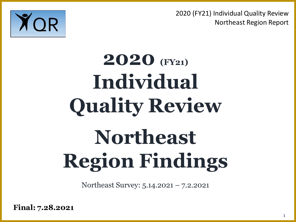

# **2020 (FY21) Individual Quality Review Northeast Region Findings**

Northeast Survey: 5.14.2021 – 7.2.2021

**Final: 7.28.2021**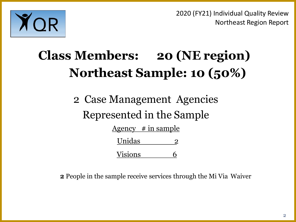

## **Class Members: 20 (NE region) Northeast Sample: 10 (50%)**

2 Case Management Agencies Represented in the Sample

Agency  $\#$  in sample

| Unidas         |  |
|----------------|--|
| <b>Visions</b> |  |

**2** People in the sample receive services through the Mi Via Waiver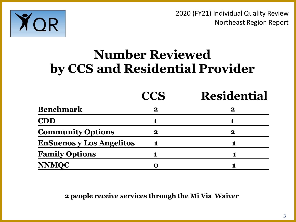

## **Number Reviewed by CCS and Residential Provider**

|                                 | <b>CCS</b> | <b>Residential</b> |
|---------------------------------|------------|--------------------|
| <b>Benchmark</b>                | $\bf{2}$   | <u>2</u>           |
| <b>CDD</b>                      |            |                    |
| <b>Community Options</b>        | 2          | $\bf 2$            |
| <b>EnSuenos y Los Angelitos</b> |            |                    |
| <b>Family Options</b>           |            |                    |
| <b>NNMQC</b>                    |            |                    |

**2 people receive services through the Mi Via Waiver**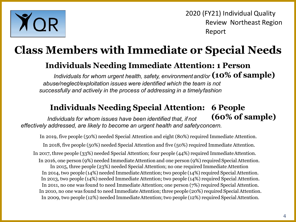

## **Class Members with Immediate or Special Needs**

### **Individuals Needing Immediate Attention: 1 Person**

Individuals for whom urgent health, safety, environment and/or  $({\bf 10\%~of~sample})$ *abuse/neglect/exploitation issues were identified which the team is not successfully and actively in the process of addressing in a timelyfashion*

#### **6 People Individuals Needing Special Attention:**

**(60% of sample)** *Individuals for whom issues have been identified that, if not effectively addressed, are likely to become an urgent health and safetyconcern.*

In 2019, five people (50%) needed Special Attention and eight (80%) required Immediate Attention. In 2018, five people (50%) needed Special Attention and five (50%) required Immediate Attention. In 2017, three people (33%) needed Special Attention; four people (44%) required ImmediateAttention. In 2016, one person (9%) needed ImmediateAttention and one person (9%) required SpecialAttention. In 2015, three people (23%) needed Special Attention; no one required ImmediateAttention In 2014, two people (14%) needed Immediate Attention; two people (14%) required Special Attention. In 2013, two people (14%) needed Immediate Attention; two people (14%) required Special Attention. In 2011, no one was found to need Immediate Attention; one person (7%) required Special Attention. In 2010, no one was found to need ImmediateAttention; three people (20%) required Special Attention. In 2009, two people (12%) needed Immediate Attention; two people (12%) required Special Attention.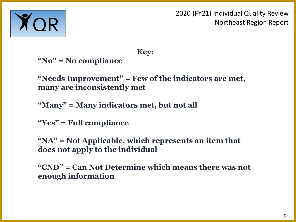

**Key:**

**"No" = No compliance** 

**"Needs Improvement" = Few of the indicators are met, many are inconsistently met**

**"Many" = Many indicators met, but not all**

**"Yes" = Full compliance** 

**"NA" = Not Applicable, which represents an item that does not apply to the individual**

**"CND" = Can Not Determine which means there was not enough information**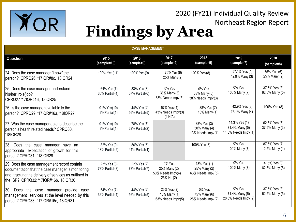

#### **CASE MANAGEMENT Question 2015 (sample=10) 2016 (sample=9) 2017 (sample=9) 2018 (sample=9) 2019 (sample=7) 2020 (sample=8)** 24. Does the case manager "know" the person? CPRQ26; '17IQR#8c, '18IQR24 100% Yes (11) 100% Yes (9) 75% Yes (6) 25% Many(2) 100% Yes (8) 57.1% Yes (4) 42.9% Many (3) 75% Yes (6) 25% Many (2) 25. Does the case manager understand his/her role/job? CPRQ27 '17IQR#16, '18IQR25 64% Yes (7) 36% Partial(4) 33% Yes (3) 67% Partial(6) 0% Yes 38% Many(3) 63% NeedsImpv(5) 0% Yes 63% Many (5) 38% Needs Impv(3) 0% Yes 100% Many (7) 37.5% Yes (3) 62.5% Many (5) 26. Is the case manager available to the person? CPRQ29; '17IQR#16a, '18IQR27 91% Yes(10) 9%Partial(1) 44% Yes (4) 56% Partial(5) 57% Yes (4) 43% Needs Impv(3)  $(1 N/A)$ 88% Yes (7) 13% Many (1) 42.9% Yes (3) 57.1% Many (4) 100% Yes (8) 27. Was the case manager able to describe the person's health related needs? CPRQ30, , '18IQR28 91% Yes(10) 9%Partial(1) 78% Yes (7) 22% Partial(2) 38% Yes (3) 50% Many (4) 13% Needs Impv(1) 14.3% Yes (1) 71.4% Many (5) 14.3% Needs Impv (1) 62.5% Yes (5) 37.5% Many (3) 28. Does the case manager have an appropriate expectation of growth for this person? CPRQ31, '18IQR29 82% Yes (9) 18% Partial(2) 56% Yes (5) 44% Partial(4) 100% Yes (8) 0% Yes 100% Many (7) 87.5% Yes (7) 12.5% Many (1) 29. Does the case management record contain documentation that the case manager is monitoring and tracking the delivery of services as outlined in the ISP? CPRQ32; '17IQR#16b, '18IQR30 27% Yes (3) 73% Partial(8) 22% Yes (2) 78% Partial(7) 0% Yes 25% Many (2) 50% Needs Impv(4) 25% No (2) 13% Yes (1) 25% Many (2) 63% Needs Impv(5) 0% Yes 100% Many (7) 37.5% Yes (3) 62.5% Many (5) 30. Does the case manager provide case management services at the level needed by this person? CPRQ33; '17IQR#16c, '18IQR31 64% Yes (7) 36% Partial(4) 44% Yes (4) 56% Partial(5) 25% Yes (2) 13% Many (1) 63% Needs Impv(5) 0% Yes 75% Many (6) 25% Needs Impv(2) 0% Yes 71.4% Many (5) 28.6% Needs Impv (2) 37.5% Yes (3) 62.5% Many (5)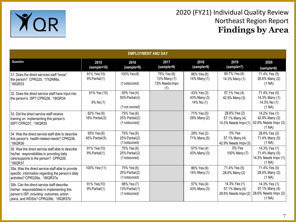

| <b>EMPLOYMENT AND DAY</b>                                                                                                                                                       |                                    |                                                 |                                                      |                                           |                                                         |                                                                   |  |  |  |
|---------------------------------------------------------------------------------------------------------------------------------------------------------------------------------|------------------------------------|-------------------------------------------------|------------------------------------------------------|-------------------------------------------|---------------------------------------------------------|-------------------------------------------------------------------|--|--|--|
| Question                                                                                                                                                                        | 2015<br>(sample=10)                | 2016<br>(sample=9)                              | 2017<br>(sample=9)                                   | 2018<br>(sample=9)                        | 2019<br>(sample=7)                                      | 2020<br>(sample=8)                                                |  |  |  |
| 31. Does the direct services staff "know"<br>the person? CPRQ35; '17IQR#8a,<br>'18IQR33                                                                                         | 91% Yes(10)<br>9% Partial(1)       | 100% Yes (8)<br>(1 notscored)                   | 75% Yes (6)<br>13% Many (1)<br>13% Needs Impv<br>(1) | 86% Yes (6)<br>14% Many (1)               | 85.7% Yes (6)<br>14.3% Many (1)                         | 71.4% Yes (5)<br>28.6% Many (2)<br>(1 NA)                         |  |  |  |
| 32. Does the direct service staff have input into<br>the person's ISP? CPRQ36, '18IQR34                                                                                         | 91% Yes (10)<br>$9\%$ No(1)        | 50% Yes (4)<br>50% Partial(4)<br>(1 not scored) |                                                      | 43% Yes (3)<br>43% Many (3)<br>14% No (1) | 57.1% Yes (4)<br>42.9% Many (3)                         | 71.4% Yes (5)<br>14.3% Many (1)<br>14.3% No (1)<br>(1 NA)         |  |  |  |
| 33. Did the direct service staff receive<br>training on implementing this person's<br>ISP? CPRQ37, '18IQR35                                                                     | 82% Yes (9)<br>18% Partial(2)      | 75% Yes (6)<br>25% Partial(2)<br>(1 notscored)  |                                                      | 71% Yes (5)<br>29% Many (2)               | 28.6% Yes (2)<br>57.1% Many (4)<br>14.3% Needs Impv (1) | 14.2% Yes (1)<br>42.9% Many (3)<br>42.9% Needs Impv (3)<br>(1 NA) |  |  |  |
| 34. Was the direct service staff able to describe<br>this person's health-related needs? CPRQ38,<br>'18IQR36                                                                    | 55% Yes (6)<br>$45%$ Partial $(5)$ | 75% Yes (6)<br>25% Partial(2)<br>(1 notscored)  |                                                      | 29% Yes (2)<br>71% Many (5)               | 0% Yes<br>57.1% Many (4)<br>42.9% Needs Impv (3)        | 28.6% Yes (2)<br>71.4% Many (5)<br>(1 NA)                         |  |  |  |
| 35. Was the direct service staff able to describe<br>his/her responsibilities in providing daily<br>care/supports to the person? CPRQ39,<br>'18IQR37                            | 91% Yes(10)<br>9% Partial(1)       | 75% Yes (6)<br>25% Partial(2)<br>(1 notscored)  |                                                      | 57% Yes (4)<br>43% Many (3)               | $0\%$ Yes<br>100% Many (7)                              | 14.3% Yes (1)<br>71.4% Many (5)<br>14.3% Needs Impv (1)<br>(1 NA) |  |  |  |
| 35a. Was the direct service staff able to provide<br>specific information regarding the person's daily<br>activities? CPRQ39a, '18IQR37a                                        | 100% Yes (11)                      | 75% Yes (6)<br>25% Partial(2)<br>(1 notscored)  |                                                      | 86% Yes (6)<br>14% Many (1)               | 71.4% Yes (5)<br>28.6% Many (2)                         | 71.4% Yes (5)<br>28.6% Many (2)<br>(1 NA)                         |  |  |  |
| 35b. Can the direct service staff describe<br>his/her responsibilities in implementing this<br>person's ISP, including outcomes, action<br>plans, and WDSIs? CPRQ39b, '18IQR37b | 91% Yes(10)<br>9% Partial(1)       | 88% Yes (7)<br>13% Partial(1)<br>(1 notscored)  |                                                      | 57% Yes (4)<br>43% Many (3)               | 14.3% Yes (1)<br>57.1% Many (4)<br>28.6% Needs Impv (2) | 14.3% Yes (1)<br>57.1% Many (4)<br>28.6% Needs Impv (2)<br>(1 NA) |  |  |  |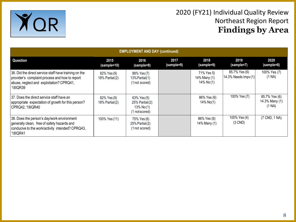

| <b>EMPLOYMENT AND DAY (continued)</b>                                                                                                                           |                                  |                                                                        |                    |                                          |                                               |                                           |  |  |  |
|-----------------------------------------------------------------------------------------------------------------------------------------------------------------|----------------------------------|------------------------------------------------------------------------|--------------------|------------------------------------------|-----------------------------------------------|-------------------------------------------|--|--|--|
| Question                                                                                                                                                        | 2015<br>(sample=10)              | 2016<br>(sample=9)                                                     | 2017<br>(sample=9) | 2018<br>(sample=9)                       | 2019<br>(sample=7)                            | 2020<br>(sample=8)                        |  |  |  |
| 36. Did the direct service staff have training on the<br>provider's complaint process and how to report<br>abuse, neglect and exploitation? CPRQ41,<br>'18IQR39 | 82% Yes (9)<br>18% Partial $(2)$ | 88% Yes (7)<br>13% Partial(1)<br>(1 not scored)                        |                    | 71% Yes 5)<br>14% Many (1)<br>14% No (1) | 85.7% Yes (6)<br>14.3% Needs $\text{Impv}(1)$ | 100% Yes (7)<br>(1 NA)                    |  |  |  |
| 37. Does the direct service staff have an<br>appropriate expectation of growth for this person?<br>CPRQ42, '18IQR40                                             | 82% Yes (9)<br>18% Partial(2)    | 63% Yes (5)<br>$25%$ Partial $(2)$<br>$13\%$ No $(1)$<br>(1 notscored) |                    | 86% Yes (6)<br>14% No(1)                 | 100% Yes (7)                                  | 85.7% Yes (6)<br>14.3% Many (1)<br>(1 NA) |  |  |  |
| 38. Does the person's day/work environment<br>generally clean, free of safety hazards and<br>conducive to the work/activity intended? CPRQ43,<br>'18IQR41       | 100% Yes (11)                    | 75% Yes (6)<br>$25%$ Partial $(2)$<br>(1 not scored)                   |                    | 86% Yes (6)<br>14% Many (1)              | 100% Yes (4)<br>$(3$ CND)                     | (7 CND, 1 NA)                             |  |  |  |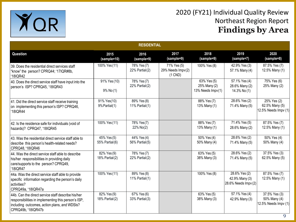

|                                                                                                                                                                                 | <b>RESIDENTIAL</b>            |                                    |                                               |                                                  |                                                         |                                                       |  |  |  |
|---------------------------------------------------------------------------------------------------------------------------------------------------------------------------------|-------------------------------|------------------------------------|-----------------------------------------------|--------------------------------------------------|---------------------------------------------------------|-------------------------------------------------------|--|--|--|
| Question                                                                                                                                                                        | 2015<br>(sample=10)           | 2016<br>(sample=9)                 | 2017<br>(sample=9)                            | 2018<br>(sample=9)                               | 2019<br>(sample=7)                                      | 2020<br>(sample=8)                                    |  |  |  |
| 39. Does the residential direct services staff<br>"know" the person? CPRQ44; '17IQR#8b,<br>18IQR42                                                                              | 100% Yes (11)                 | 78% Yes (7)<br>$22%$ Partial $(2)$ | 71% Yes (5)<br>29% Needs Impv(2)<br>$(1$ CND) | 100% Yes (8)                                     | 42.9% Yes (3)<br>57.1% Many (4)                         | 87.5% Yes (7)<br>12.5% Many (1)                       |  |  |  |
| 40. Does the direct service staff have input into the<br>person's ISP? CPRQ45, '18IQR43                                                                                         | 91% Yes (10)<br>$9\%$ No(1)   | 78% Yes (7)<br>22% Partial(2)      |                                               | 63% Yes (5)<br>25% Many (2)<br>13% Needs Impv(1) | 57.1% Yes (4)<br>28.6% Many (2)<br>14.3% No (1)         | 75% Yes (6)<br>25% Many (2)                           |  |  |  |
| 41. Did the direct service staff receive training<br>on implementing this person's ISP? CPRQ46,<br>'18IQR44                                                                     | 91% Yes(10)<br>9% Partial(1)  | 89% Yes (8)<br>11% Partial $(1)$   |                                               | 88% Yes (7)<br>13% Many (1)                      | 28.6% Yes (2)<br>71.4% Many (5)                         | 25% Yes (2)<br>62.5% Many (5)<br>12.5% Needs Impv (1) |  |  |  |
| 42. Is the residence safe for individuals (void of<br>hazards)? CPRQ47, '18IQR45                                                                                                | 100% Yes (11)                 | 78% Yes(7)<br>22% No(2)            |                                               | 88% Yes (7)<br>13% Many (1)                      | 71.4% Yes (5)<br>28.6% Many (2)                         | 87.5% Yes (7)<br>12.5% Many (1)                       |  |  |  |
| $ 43$ . Was the residential direct service staff able to<br>describe this person's health-related needs?<br>CPRQ48, '18IQR46                                                    | 45% Yes (5)<br>55% Partial(6) | 44% Yes (4)<br>56% Partial(5)      |                                               | 50% Yes (4)<br>50% Many (4)                      | 28.6% Yes (2)<br>71.4% Many (5)                         | 50% Yes (4)<br>50% Many (4)                           |  |  |  |
| 44. Was the direct service staff able to describe<br>his/her responsibilities in providing daily<br>care/supports to the person? CPRQ49,<br>'18IQR47                            | 82% Yes (9)<br>18% Partial(2) | 78% Yes (7)<br>22% Partial(2)      |                                               | 63% Yes (5)<br>38% Many (3)                      | 28.6% Yes (2)<br>71.4% Many (5)                         | 37.5% Yes (3)<br>62.5% Many (5)                       |  |  |  |
| 44a. Was the direct service staff able to provide<br>specific information regarding the person's daily<br>activities?<br>CPRQ49a, '18IQR47a                                     | 100% Yes (11)                 | 89% Yes (8)<br>11% Partial (1)     |                                               | 100% Yes (8)                                     | 28.6% Yes (2)<br>42.9% Many (3)<br>28.6% Needs Impv (2) | 87.5% Yes (7)<br>12.5% Many (1)                       |  |  |  |
| 44b. Can the direct service staff describe his/her<br>responsibilities in implementing this person's ISP,<br>including outcomes, action plans, and WDSIs?<br>CPRQ49b, '18IQR47b | 82% Yes (9)<br>18% Partial(2) | 67% Yes (6)<br>33% Partial(3)      |                                               | 63% Yes (5)<br>38% Many (3)                      | 57.1% Yes (4)<br>42.9% Many (3)                         | 37.5% Yes (3)<br>50% Many (4)<br>12.5% Needs Impv (1) |  |  |  |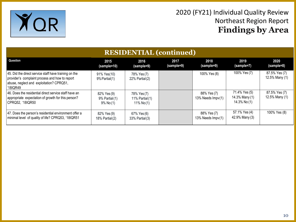

| <b>RESIDENTIAL</b> (continued)                                                                                                                                  |                                                     |                                                 |                    |                                  |                                                 |                                 |  |  |
|-----------------------------------------------------------------------------------------------------------------------------------------------------------------|-----------------------------------------------------|-------------------------------------------------|--------------------|----------------------------------|-------------------------------------------------|---------------------------------|--|--|
| Question                                                                                                                                                        | 2015<br>(sample=10)                                 | 2016<br>(sample=9)                              | 2017<br>(sample=9) | 2018<br>(sample=9)               | 2019<br>(sample=7)                              | 2020<br>(sample=8)              |  |  |
| 45. Did the direct service staff have training on the<br>provider's complaint process and how to report<br>abuse, neglect and exploitation? CPRQ51,<br>'18IQR49 | 91% Yes(10)<br>9% Partial(1)                        | 78% Yes (7)<br>$22\%$ Partial $(2)$             |                    | 100% Yes (8)                     | 100% Yes (7)                                    | 87.5% Yes (7)<br>12.5% Many (1) |  |  |
| 46. Does the residential direct service staff have an<br>appropriate expectation of growth for this person?<br>CPRQ52, '18IQR50                                 | 82% Yes (9)<br>$9%$ Partial $(1)$<br>$9\%$ No $(1)$ | 78% Yes (7)<br>11% Partial $(1)$<br>11% $No(1)$ |                    | 88% Yes (7)<br>13% Needs Impv(1) | 71.4% Yes (5)<br>14.3% Many (1)<br>14.3% No (1) | 87.5% Yes (7)<br>12.5% Many (1) |  |  |
| 47. Does the person's residential environment offer a<br>minimal level of quality of life? CPRQ53, '18IQR51                                                     | 82% Yes (9)<br>18% Partial (2)                      | 67% Yes (6)<br>33% Partial (3)                  |                    | 88% Yes (7)<br>13% Needs Impv(1) | 57.1% Yes (4)<br>42.9% Many (3)                 | 100% Yes (8)                    |  |  |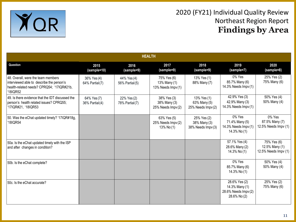

| <b>HEALTH</b>                                                                                                                            |                               |                               |                                                   |                                                  |                                                                         |                                                       |  |  |  |
|------------------------------------------------------------------------------------------------------------------------------------------|-------------------------------|-------------------------------|---------------------------------------------------|--------------------------------------------------|-------------------------------------------------------------------------|-------------------------------------------------------|--|--|--|
| Question                                                                                                                                 | 2015<br>(sample=10)           | 2016<br>(sample=9)            | 2017<br>(sample=9)                                | 2018<br>(sample=9)                               | 2019<br>(sample=7)                                                      | 2020<br>(sample=8)                                    |  |  |  |
| 48. Overall, were the team members<br>interviewed able to describe the person's<br>health-related needs? CPRQ54; '17IQR#21b,<br>'18IQR52 | 36% Yes (4)<br>64% Partial(7) | 44% Yes (4)<br>56% Partial(5) | 75% Yes (6)<br>13% Many (1)<br>13% Needs Impv (1) | 13% Yes (1)<br>88% Many (7)                      | 0% Yes<br>85.7% Many (6)<br>14.3% Needs Impv (1)                        | 25% Yes (2)<br>75% Many (6)                           |  |  |  |
| 49. Is there evidence that the IDT discussed the<br>person's health related issues? CPRQ55;<br>'17IQR#21, '18IQR53                       | 64% Yes (7)<br>36% Partial(4) | 22% Yes (2)<br>78% Partial(7) | 38% Yes (3)<br>38% Many (3)<br>25% Needs Impv (2) | 13% Yes (1)<br>63% Many (5)<br>25% Needs Impv(2) | 42.9% Yes (3)<br>42.9% Many (3)<br>14.3% Needs Impv(1)                  | 50% Yes (4)<br>50% Many (4)                           |  |  |  |
| 50. Was the eChat updated timely? '17IQR#18g,<br>'18IQR54                                                                                |                               |                               | 63% Yes (5)<br>25% Needs Impv (2)<br>13% No (1)   | 25% Yes (2)<br>38% Many (3)<br>38% Needs Impv(3) | 0% Yes<br>71.4% Many (5)<br>14.3% Needs Impv (1)<br>14.3% No (1)        | 0% Yes<br>87.5% Many (7)<br>12.5% Needs Impv (1)      |  |  |  |
| 50a. Is the eChat updated timely with the ISP<br>and after changes in condition?                                                         |                               |                               |                                                   |                                                  | 57.1% Yes (4)<br>28.6% Many (2)<br>14.3% No (1)                         | 75% Yes (6)<br>12.5% Many (1)<br>12.5% Needs Impv (1) |  |  |  |
| 50b. Is the eChat complete?                                                                                                              |                               |                               |                                                   |                                                  | 0% Yes<br>85.7% Many (6)<br>14.3% No (1)                                | 50% Yes (4)<br>50% Many (4)                           |  |  |  |
| 50c. Is the eChat accurate?                                                                                                              |                               |                               |                                                   |                                                  | 28.6% Yes (2)<br>14.3% Many (1)<br>28.6% Needs Impv (2)<br>28.6% No (2) | 25% Yes (2)<br>75% Many (6)                           |  |  |  |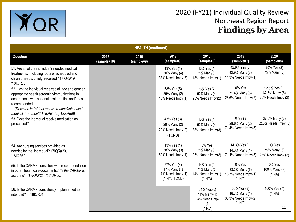

| <b>HEALTH (continued)</b>                                                                                                                                                                                                                                           |                     |                    |                                                                    |                                                                 |                                                                  |                                                       |  |
|---------------------------------------------------------------------------------------------------------------------------------------------------------------------------------------------------------------------------------------------------------------------|---------------------|--------------------|--------------------------------------------------------------------|-----------------------------------------------------------------|------------------------------------------------------------------|-------------------------------------------------------|--|
| Question                                                                                                                                                                                                                                                            | 2015<br>(sample=10) | 2016<br>(sample=9) | 2017<br>(sample=9)                                                 | 2018<br>(sample=9)                                              | 2019<br>(sample=7)                                               | 2020<br>(sample=8)                                    |  |
| 51. Are all of the individual's needed medical<br>treatments, including routine, scheduled and<br>chronic needs, timely received? 17IQR#19,<br>'18IQR55                                                                                                             |                     |                    | 13% Yes (1)<br>50% Many (4)<br>38% Needs Impv(3)                   | 13% Yes (1)<br>75% Many (6)<br>13% Needs Impv(1)                | 42.9% Yes (3)<br>42.9% Many (3)<br>14.3% Needs Impv (1)          | 25% Yes (2)<br>75% Many (6)                           |  |
| 52. Has the individual received all age and gender<br>appropriate health screening/immunizations in<br>accordance with national best practice and/or as<br>recommended<br>(Does the individual receive routine/scheduled<br>medical treatment? 17IQR#19a, '18IQR56) |                     |                    | 63% Yes (5)<br>25% Many (2)<br>13% Needs Impv(1)                   | 25% Yes (2)<br>50% Many (4)<br>25% Needs Impv(2)                | 0% Yes<br>71.4% Many (5)<br>28.6% Needs Impv (2)                 | 12.5% Yes (1)<br>62.5% Many (5)<br>25% Needs Impv (2) |  |
| 53. Does the individual receive medication as<br>  prescribed?                                                                                                                                                                                                      |                     |                    | 43% Yes (3)<br>29% Many (2)<br>29% Needs Impv(2)<br>$(1$ CND)      | 13% Yes (1)<br>50% Many (4)<br>38% Needs Impv(3)                | 0% Yes<br>28.6% Many (2)<br>71.4% Needs Impv (5)                 | 37.5% Many (3)<br>62.5% Needs Impv (5)                |  |
| 54. Are nursing services provided as<br>needed by the individual? 17IQR#20,<br>18IQR59                                                                                                                                                                              |                     |                    | 13% Yes (1)<br>38% Many (3)<br>50% Needs Impv(4)                   | 0% Yes<br>75% Many (6)<br>25% Needs Impv(2)                     | 14.3% Yes (1)<br>14.3% Many (1)<br>71.4% Needs Impv (5)          | 0% Yes<br>75% Many (6)<br>25% Needs Impv (2)          |  |
| 55. Is the CARMP consistent with recommendation<br>in other healthcare documents? (Is the CARMP is<br>accurate? '17IQR#21f, '18IQR60)                                                                                                                               |                     |                    | 67% Yes (4)<br>17% Many (1)<br>17% Needs Impv(1)<br>(1 N/A, 1 CND) | 14% Yes (1)<br>71% Many (5)<br>14% Needs Impv(1)<br>(1 N/A)     | 0% Yes<br>83.3% Many (5)<br>16.7% Needs Impv (1)<br>(1 N/A)      | 0% Yes<br>100% Many (7)<br>(1 NA)                     |  |
| 56. Is the CARMP consistently implemented as<br>intended?, '18IQR61                                                                                                                                                                                                 |                     |                    |                                                                    | 71% Yes (5)<br>14% Many (1)<br>14% Needs Impv<br>(1)<br>(1 N/A) | 50% Yes (3)<br>16.7% Many (1)<br>33.3% Needs Impv (2)<br>(1 N/A) | 100% Yes (7)<br>(1 NA)<br>11                          |  |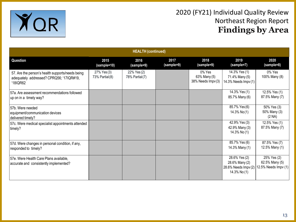

| <b>HEALTH</b> (continued)                                                                                |                               |                               |                    |                                             |                                                                         |                                                       |  |
|----------------------------------------------------------------------------------------------------------|-------------------------------|-------------------------------|--------------------|---------------------------------------------|-------------------------------------------------------------------------|-------------------------------------------------------|--|
| Question                                                                                                 | 2015<br>(sample=10)           | 2016<br>(sample=9)            | 2017<br>(sample=9) | 2018<br>(sample=9)                          | 2019<br>(sample=7)                                                      | 2020<br>(sample=8)                                    |  |
| 57. Are the person's health supports/needs being<br>adequately addressed? CPRQ56; '17IQR#19,<br>'18IQR62 | 27% Yes (3)<br>73% Partial(8) | 22% Yes (2)<br>78% Partial(7) |                    | 0% Yes<br>63% Many (5)<br>38% Needs Impv(3) | 14.3% Yes (1)<br>71.4% Many (5)<br>14.3% Needs Impv (1)                 | 0% Yes<br>100% Many (8)                               |  |
| 57a. Are assessment recommendations followed<br>up on in a timely way?                                   |                               |                               |                    |                                             | 14.3% Yes (1)<br>85.7% Many (6)                                         | 12.5% Yes (1)<br>87.5% Many (7)                       |  |
| 57b. Were needed<br>equipment/communication devices<br>delivered timely?                                 |                               |                               |                    |                                             | 85.7% Yes (6)<br>$14.3\%$ No $(1)$                                      | 50% Yes (3)<br>50% Many (3)<br>(2 NA)                 |  |
| 57c. Were medical specialist appointments attended<br>timely?                                            |                               |                               |                    |                                             | 42.9% Yes (3)<br>42.9% Many (3)<br>14.3% No (1)                         | 12.5% Yes (1)<br>87.5% Many (7)                       |  |
| 57d. Were changes in personal condition, if any,<br>responded to timely?                                 |                               |                               |                    |                                             | 85.7% Yes (6)<br>14.3% Many (1)                                         | 87.5% Yes (7)<br>12.5% Many (1)                       |  |
| 57e. Were Health Care Plans available,<br>accurate and consistently implemented?                         |                               |                               |                    |                                             | 28.6% Yes (2)<br>28.6% Many (2)<br>28.6% Needs Impv (2)<br>14.3% No (1) | 25% Yes (2)<br>62.5% Many (5)<br>12.5% Needs Impv (1) |  |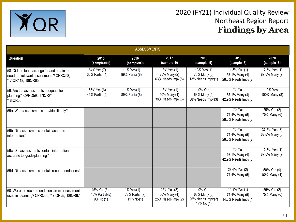

| <b>ASSESSMENTS</b>                                                                                        |                                               |                                              |                                                   |                                                          |                                                         |                                 |  |  |
|-----------------------------------------------------------------------------------------------------------|-----------------------------------------------|----------------------------------------------|---------------------------------------------------|----------------------------------------------------------|---------------------------------------------------------|---------------------------------|--|--|
| <b>Question</b>                                                                                           | 2015<br>(sample=10)                           | 2016<br>(sample=9)                           | 2017<br>(sample=9)                                | 2018<br>(sample=9)                                       | 2019<br>(sample=7)                                      | 2020<br>(sample=8)              |  |  |
| 58. Did the team arrange for and obtain the<br>needed, relevant assessments? CPRQ58;<br>17IQR#18, 18IQR65 | 64% Yes (7)<br>36% Partial (4)                | 11% Yes (1)<br>89% Partial(8)                | 13% Yes (1)<br>25% Many (2)<br>63% Needs Impv (5) | 13% Yes (1)<br>75% Many (6)<br>13% Needs Impv(1)         | 14.3% Yes (1)<br>57.1% Many (4)<br>28.6% Needs Impv (2) | 12.5% Yes (1)<br>87.5% Many (7) |  |  |
| 59. Are the assessments adequate for<br>planning? CPRQ59; '17IQR#4f,<br>'18IQR66                          | 55% Yes (6)<br>45% Partial (5)                | 11% Yes (1)<br>89% Partial(8)                | 18% Yes (1)<br>50% Many (4)<br>38% Needs Impv(3)  | 0% Yes<br>63% Many (5)<br>38% Needs Impv(3)              | 0% Yes<br>57.1% Many (4)<br>42.9% Needs Impv (3)        | 0% Yes<br>100% Many (8)         |  |  |
| 59a. Were assessments provided timely?                                                                    |                                               |                                              |                                                   |                                                          | 0% Yes<br>71.4% Many (5)<br>28.6% Needs Impv (2)        | 25% Yes (2)<br>75% Many (6)     |  |  |
| 59b. Did assessments contain accurate<br>linformation?                                                    |                                               |                                              |                                                   |                                                          | 0% Yes<br>71.4% Many (5)<br>28.6% Needs Impv (2)        | 37.5% Yes (3)<br>62.5% Many (5) |  |  |
| 159c. Did assessments contain information<br>accurate to guide planning?                                  |                                               |                                              |                                                   |                                                          | 0% Yes<br>57.1% Many (4)<br>42.9% Needs Impv (3)        | 12.5% Yes (1)<br>87.5% Many (7) |  |  |
| 59d. Did assessments contain recommendations?                                                             |                                               |                                              |                                                   |                                                          | 28.6% Yes (2)<br>71.4% Many (5)                         | 50% Yes (4)<br>50% Many (4)     |  |  |
| 60. Were the recommendations from assessments<br>used in planning? CPRQ60; '17IQR#5, '18IQR67             | 45% Yes (5)<br>45% Partial(5)<br>$9\%$ No (1) | 11% Yes (1)<br>78% Partial(7)<br>11% $No(1)$ | 25% Yes (2)<br>50% Many (4)<br>25% Needs Impv (2) | 0% Yes<br>63% Many (5)<br>25% Needs Impv(2)<br>13% No(1) | 14.3% Yes (1)<br>71.4% Many (5)<br>14.3% Needs Impv (1) | 25% Yes (2)<br>75% Many (6)     |  |  |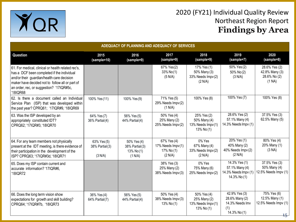

5

| ADEQUACY OF PLANNING AND ADEQUACY OF SERVICES                                                                                                                                                                                                            |                                           |                                                          |                                                           |                                                                |                                                                           |                                                                         |  |  |  |
|----------------------------------------------------------------------------------------------------------------------------------------------------------------------------------------------------------------------------------------------------------|-------------------------------------------|----------------------------------------------------------|-----------------------------------------------------------|----------------------------------------------------------------|---------------------------------------------------------------------------|-------------------------------------------------------------------------|--|--|--|
| Question                                                                                                                                                                                                                                                 | 2015<br>(sample=10)                       | 2016<br>(sample=9)                                       | 2017<br>(sample=9)                                        | 2018<br>(sample=9)                                             | 2019<br>(sample=7)                                                        | 2020<br>(sample=8)                                                      |  |  |  |
| 61. For medical, clinical or health related rec's,<br>has a DCF been completed if the individual<br>and/or their guardian/health care decision<br>maker have decided not to follow all or part of<br>an order, rec, or suggestion? '17IQR#5c,<br>18IQR68 |                                           |                                                          | 67% Yes(2)<br>33% No(1)<br>(5 N/A)                        | 17% Yes (1)<br>50% Many (3)<br>33% Needs Impv (2)<br>(2 N/A)   | 50% Yes (2)<br>50% No(2)<br>(3 N/A)                                       | 28.6% Yes (2)<br>42.8% Many (3)<br>28.6% No (2)<br>(1 NA)               |  |  |  |
| 62. Is there a document called an Individual<br>Service Plan (ISP) that was developed within<br>the past year? CPRQ61; '17IQR#9, '18IQR69                                                                                                                | 100% Yes (11)                             | 100% Yes (9)                                             | 71% Yes (5)<br>29% Needs Impv(2)<br>(1 N/A)               | 100% Yes (8)                                                   | 100% Yes (7)                                                              | 100% Yes (8)                                                            |  |  |  |
| 63. Was the ISP developed by an<br>appropriately constituted IDT?<br>CPRQ62; '17IQR#3, '18IQR70                                                                                                                                                          | 64% Yes (7)<br>36% Partial(4)             | 56% Yes (5)<br>44% Partial(4)                            | 50% Yes (4)<br>25% Many (2)<br>25% Needs Impv(2)          | 25% Yes (2)<br>50% Many (4)<br>13% Needs Impv(1)<br>13% No (1) | 28.6% Yes (2)<br>57.1% Many (4)<br>14.3% Needs Impv (1)                   | 37.5% Yes (3)<br>62.5% Many (5)                                         |  |  |  |
| 64. For any team members not physically<br>present at the IDT meeting, is there evidence of<br>their participation in the development of the<br>ISP? CPRQ63; '17IQR#3d, '18IQR71                                                                         | 63% Yes (5)<br>38% Partial (3)<br>(3 N/A) | 50% Yes (4)<br>38% Partial (3)<br>13% $No(1)$<br>(1 N/A) | 67% Yes (4)<br>17% Needs Impv(1)<br>17% No (1)<br>(2 N/A) | 0% Yes<br>67% Many (4)<br>33% Needs Impv(2)<br>(2 N/A)         | $20%$ Yes (1)<br>40% Many (2)<br>40% Needs Impv (2)<br>(2 N/A)            | 80% Yes (4)<br>20% Many (1)<br>(3 NA)                                   |  |  |  |
| 65. Does my ISP contain current and<br>accurate information? '17IQR#6,<br>18IQR72                                                                                                                                                                        |                                           |                                                          | 38% Yes (3)<br>25% Many (2)<br>38% Needs Impv(3)          | 0% Yes<br>75% Many (6)<br>25% Needs Impv(2)                    | 14.3% Yes (1)<br>57.1% Many (4)<br>14.3% Needs Impv (1)<br>14.3% No (1)   | 37.5% Yes (3)<br>50% Many (4)<br>12.5% Needs Impv (1)                   |  |  |  |
| 66. Does the long term vision show<br>expectations for growth and skill building?<br>CPRQ64; '17IQR#7b, '18IQR73                                                                                                                                         | 36% Yes (4)<br>64% Partial(7)             | 56% Yes (5)<br>44% Partial(4)                            | 50% Yes (4)<br>38% Needs Impv(3)<br>13% No (1)            | 50% Yes (4)<br>25% Many (2)<br>13% Needs Impv(1)<br>13% No (1) | 42.9% Yes (3)<br>28.6% Many (2)<br>14.3% Needs Imv<br>(1)<br>14.3% No (1) | 75% Yes (6)<br>12.5% Many (1)<br>12.5% Needs Impv (1)<br>1 <sub>F</sub> |  |  |  |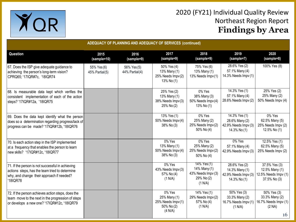

|                                                                                                                                                            | ADEQUACY OF PLANNING AND ADEQUACY OF SERVICES (continued) |                               |                                                                      |                                                                            |                                                                                    |                                                                         |  |  |
|------------------------------------------------------------------------------------------------------------------------------------------------------------|-----------------------------------------------------------|-------------------------------|----------------------------------------------------------------------|----------------------------------------------------------------------------|------------------------------------------------------------------------------------|-------------------------------------------------------------------------|--|--|
| Question                                                                                                                                                   | 2015<br>(sample=10)                                       | 2016<br>(sample=9)            | 2017<br>(sample=9)                                                   | 2018<br>(sample=9)                                                         | 2019<br>(sample=7)                                                                 | 2020<br>(sample=8)                                                      |  |  |
| 67. Does the ISP give adequate guidance to<br>achieving the person's long-term vision?<br>CPRQ65; '17IQR#7c, '18IQR74                                      | 55% Yes (6)<br>45% Partial(5)                             | 56% Yes (5)<br>44% Partial(4) | 50% Yes (4)<br>13% Many (1)<br>25% Needs Impv(2)<br>13% No (1)       | 75% Yes (6)<br>13% Many (1)<br>13% Needs Impv(1)                           | 28.6% Yes (2)<br>57.1% Many (4)<br>14.3% Needs Impv (1)                            | 100% Yes (8)                                                            |  |  |
| 68. Is measurable data kept which verifies the<br>consistent implementation of each of the action<br>steps? '17IQR#12a, '18IQR75                           |                                                           |                               | 25% Yes (2)<br>13% Many (1)<br>38% Needs Impv(3)<br>25% No (2)       | 0% Yes<br>38% Many (3)<br>50% Needs Impv(4)<br>13% No (1)                  | 14.3% Yes (1)<br>57.1% Many (4)<br>28.6% Needs Impv (2)                            | 25% Yes (2)<br>25% Many (2)<br>50% Needs Impv (4)                       |  |  |
| 69. Does the data kept identify what the person<br>does so a determination regarding progress/lack of<br>progress can be made? '17IQR#12b, '18IQR76        |                                                           |                               | 13% Yes (1)<br>50% Needs Impv(4)<br>38% No (3)                       | 0% Yes<br>25% Many (2)<br>25% Needs Impv(2)<br>50% No (4)                  | 14.3% Yes (1)<br>28.6% Many (2)<br>42.9% Needs Impv (3)<br>14.3% No (1)            | 0% Yes<br>62.5% Many (5)<br>25% Needs Impv (2)<br>12.5% No (1)          |  |  |
| 70. Is each action step in the ISP implemented<br>at a frequency that enables the person to learn<br>new skills? '17IQR#12c, '18IQR77                      |                                                           |                               | 0% Yes<br>13% Many (1)<br>50% Needs Impv(4)<br>38% No (3)            | 0% Yes<br>25% Many (2)<br>25% Needs Impv(2)<br>50% No (4)                  | 0% Yes<br>57.1% Many (4)<br>42.9% Needs Impv (3)                                   | 12.5% Yes (1)<br>62.5% Many (5)<br>25% Needs Impv (2)                   |  |  |
| 71. If the person is not successful in achieving<br>actions steps, has the team tried to determine<br>why, and change their approach if needed?<br>18IQR78 |                                                           |                               | 0% Yes<br>43% Needs Impv(3)<br>57% No (4)<br>(1 N/A)                 | 14% Yes (1)<br>14% Many (1)<br>43% Needs Impv (3)<br>29% No (2)<br>(1 N/A) | 28.6% Yes (2)<br>14.3% Many (1)<br>42.9% Needs Impv (3)<br>14.3% No (1)            | 37.5% Yes (3)<br>12.5% Many (1)<br>12.5% Needs Impv (1)<br>37.5% No (3) |  |  |
| 72. If the person achieves action steps, does the<br>team move to the next in the progression of steps<br>or develops a new one? '17IQR#12c, '18IQR79      |                                                           |                               | 0% Yes<br>25% Many (1)<br>25% Needs Impv(1)<br>50% No (2)<br>(4 N/A) | 14% Yes (1)<br>29% Needs Impv(2)<br>57% No (4)<br>(1 N/A)                  | $\sqrt{50\% \text{ Yes}}$ (3)<br>33.3% Many (2)<br>16.7% Needs Impv (1)<br>(1 N/A) | 50% Yes (3)<br>33.3% Many (2)<br>16.7% Needs Impv (1)<br>(2 NA)<br>16   |  |  |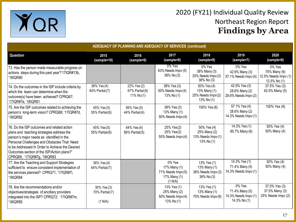

| ADEQUACY OF PLANNING AND ADEQUACY OF SERVICES (continued)                                                                                                                                                                                                                                                           |                                          |                                              |                                                                        |                                                                  |                                                                  |                                                                |  |  |
|---------------------------------------------------------------------------------------------------------------------------------------------------------------------------------------------------------------------------------------------------------------------------------------------------------------------|------------------------------------------|----------------------------------------------|------------------------------------------------------------------------|------------------------------------------------------------------|------------------------------------------------------------------|----------------------------------------------------------------|--|--|
| <b>Question</b>                                                                                                                                                                                                                                                                                                     | 2015<br>(sample=10)                      | 2016<br>(sample=9)                           | 2017<br>(sample=9)                                                     | 2018<br>(sample=9)                                               | 2019<br>(sample=7)                                               | 2020<br>(sample=8)                                             |  |  |
| 73. Has the person made measurable progress on<br>actions steps during this past year?'17IQR#13b,<br>'18IQR80                                                                                                                                                                                                       |                                          |                                              | $0\%$ Yes<br>63% Needs Impv (5)<br>38% No (3)                          | 0% Yes<br>38% Many (3)<br>25% Needs Impv(2)<br>38% No (3)        | 0% Yes<br>42.9% Many (3)<br>57.1% Needs Impv (4)                 | 0% Yes<br>75% Many (6)<br>12.5% Needs Impv (1)<br>12.5% No (1) |  |  |
| 74. Do the outcomes in the ISP include criteria by<br>which the team can determine when the<br>outcome(s) have been achieved? CPRQ67;<br>'17IQR#7e, '18IQR81                                                                                                                                                        | 36% Yes (4)<br>64% Partial (7)           | 22% Yes (2)<br>67% Partial(6)<br>11% $No(1)$ | 38% Yes (3)<br>50% Needs Impv(4)<br>13% No $(1)$                       | 50% Yes (4)<br>13% Many (1)<br>25% Needs Impv(2)<br>13% No (1)   | 42.9% Yes (3)<br>28.6% Many (2)<br>28.6% Needs Impv (2)          | 37.5% Yes (3)<br>62.5% Many (5)                                |  |  |
| 75. Are the ISP outcomes related to achieving the<br>person's long-term vision? CPRQ68; '17IQR#7d,<br>'18IQR82                                                                                                                                                                                                      | 45% Yes (5)<br>55% Partial(6)            | 56% Yes (5)<br>44% Partial (4)               | 38% Yes (3)<br>13% Many (1)<br>50% Needs Impv(4)                       | 100% Yes (8)                                                     | 57.1% Yes (4)<br>28.6% Many (2)<br>14.3% Needs Impv (1)          | 100% Yes (8)                                                   |  |  |
| 76. Do the ISP outcomes and related action<br>plans and teaching strategies address the<br>person's major needs as identified in the<br>Personal Challenges and Obstacles That Need<br>to be Addressed In Order to Achieve the Desired<br>Outcomes section of the ISP/Action plans?"<br>CPRQ69; '17IQR#7g, '18IQR83 | 45% Yes (5)<br>55% Partial(6)            | 44% Yes (4)<br>56% Partial (5)               | 25% Yes(2)<br>25% Yes(2)<br>50% Needs Impv(4)                          | 50% Yes (4)<br>25% Many (2)<br>13% Needs Impv(1)<br>13% No $(1)$ | 14.3% Yes (1)<br>85.7% Many (6)                                  | 50% Yes (4)<br>50% Many (4)                                    |  |  |
| 77. Are the Teaching and Support Strategies<br>sufficient to ensure consistent implementation of<br>the services planned? CPRQ71; '17IQR#7i,<br>'18IQR84                                                                                                                                                            | 36% Yes (4)<br>64% Partial(7)            |                                              | 0% Yes<br>17% Many (1)<br>71% Needs Impv(5)<br>17% Many (1)<br>(1 N/A) | 13% Yes (1)<br>13% Many (1)<br>38% Needs Impv(3)<br>38% No (3)   | 14.3% Yes (1)<br>71.4% Many (5)<br>14.3% Needs Impv (1)          | 50% Yes (4)<br>50% Many (4)                                    |  |  |
| 78. Are the recommendations and/or<br>objectives/strategies of ancillary providers<br>integrated into the ISP? CPRQ72; '17IQR#7m,<br>'18IQR85                                                                                                                                                                       | 30% Yes (3)<br>70% Partial(7)<br>(1 N/A) |                                              | 13% Yes (1)<br>25% Many (2)<br>50% Needs Impv(4)<br>13% No (1)         | 13% Yes (1)<br>13% Many (1)<br>75% Needs Impv(6)                 | 0% Yes<br>71.4% Many (5)<br>14.3% Needs Impv (1)<br>14.3% No (1) | 37.5% Yes (3)<br>37.5% Many (3)<br>25% Needs Impv (2)          |  |  |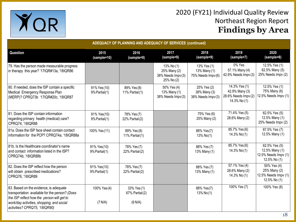

| <b>ADEQUACY OF PLANNING AND ADEQUACY OF SERVICES (continued)</b>                                                                                                                                                     |                               |                                          |                                                               |                                                  |                                                                         |                                                                         |  |  |  |
|----------------------------------------------------------------------------------------------------------------------------------------------------------------------------------------------------------------------|-------------------------------|------------------------------------------|---------------------------------------------------------------|--------------------------------------------------|-------------------------------------------------------------------------|-------------------------------------------------------------------------|--|--|--|
| Question                                                                                                                                                                                                             | 2015<br>(sample=10)           | 2016<br>(sample=9)                       | 2017<br>(sample=9)                                            | 2018<br>(sample=9)                               | 2019<br>(sample=7)                                                      | 2020<br>(sample=8)                                                      |  |  |  |
| 79. Has the person made measurable progress<br>in therapy this year? '17IQR#13a, '18IQR86                                                                                                                            |                               |                                          | 13% No (1)<br>25% Many (2)<br>38% Needs Impv(3)<br>25% No (2) | 13% Yes (1)<br>13% Many (1)<br>75% Needs Impv(6) | 0% Yes<br>57.1% Many (4)<br>42.9% Needs Impv (3)                        | 12.5% Yes (1)<br>62.5% Many (5)<br>25% Needs Impv (2)                   |  |  |  |
| 80. If needed, does the ISP contain a specific<br>Medical Emergency Response Plan<br>(MERP)? CPRQ73b '17IQR#20c, '18IQR87                                                                                            | 91% Yes (10)<br>9% Partial(1) | 89% Yes (8)<br>11% Partial(1)            | 50% Yes (4)<br>13% Many (1)<br>38% Needs Impv(3)              | 25% Yes (2)<br>38% Many (3)<br>38% Needs Impv(3) | 14.3% Yes (1)<br>42.9% Many (3)<br>28.6% Needs Impv (2)<br>14.3% No (1) | 12.5% Yes (1)<br>75% Many (6)<br>12.5% Needs Impv (1)                   |  |  |  |
| 81. Does the ISP contain information<br>regarding primary health (medical) care?<br>CPRQ74, '18IQR88                                                                                                                 | 91% Yes(10)<br>9% Partial(1)  | 78% Yes (7)<br>22% Partial(2)            |                                                               | 75% Yes (6)<br>25% Many (2)                      | 71.4% Yes (5)<br>28.6% Many (2)                                         | 62.5% Yes (5)<br>12.5% Many (1)<br>25% Needs Impv (2)                   |  |  |  |
| 81a. Does the ISP face sheet contain contact<br>information for the PCP? CPRQ74a, '18IQR88a                                                                                                                          | 100% Yes (11)                 | 89% Yes (8)<br>11% Partial(1)            |                                                               | 88% Yes(7)<br>13% No(1)                          | 85.7% Yes (6)<br>14.3% No(1)                                            | 87.5% Yes (7)<br>12.5% Many (1)                                         |  |  |  |
| 81b. Is the Healthcare coordinator's name<br>and contact information listed in the ISP?<br>CPRQ74b, '18IQR88b                                                                                                        | 91% Yes(10)<br>9% Partial(1)  | 78% Yes (7)<br>22% Partial(2)            |                                                               | 88% Yes (7)<br>13% Many (1)                      | 85.7% Yes (6)<br>14.3% No(1)                                            | 62.5% Yes (5)<br>12.5% Many (1)<br>12.5% Needs Impv (1)<br>12.5% No (1) |  |  |  |
| 82. Does the ISP reflect how the person<br>will obtain prescribed medications?<br>CPRQ76, '18IQR89                                                                                                                   | 91% Yes(10)<br>9% Partial(1)  | 78% Yes (7)<br>$22%$ Partial $(2)$       |                                                               | 88% Yes (7)<br>13% Many (1)                      | 57.1% Yes (4)<br>28.6% Many (2)<br>14.3% No (1)                         | 50% Yes (4)<br>25% Many (2)<br>12.5% Needs Impv (1)<br>12.5% No (1)     |  |  |  |
| 83. Based on the evidence, is adequate<br>transportation available for the person? (Does<br>the ISP reflect how the person will get to<br>work/day activities, shopping, and social<br>activities? CPRQ75, '18IQR90) | 100% Yes (4)<br>(7 N/A)       | 33% Yes (1)<br>67% Partial(2)<br>(6 N/A) |                                                               | 88% Yes(7)<br>13% No(1)                          | 100% Yes (7)                                                            | 100% Yes (8)                                                            |  |  |  |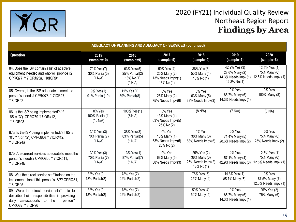

| ADEQUACY OF PLANNING AND ADEQUACY OF SERVICES (continued)                                                                                              |                                           |                                                            |                                                                |                                                                |                                                                         |                                                       |  |  |  |
|--------------------------------------------------------------------------------------------------------------------------------------------------------|-------------------------------------------|------------------------------------------------------------|----------------------------------------------------------------|----------------------------------------------------------------|-------------------------------------------------------------------------|-------------------------------------------------------|--|--|--|
| Question                                                                                                                                               | 2015<br>(sample=10)                       | 2016<br>(sample=9)                                         | 2017<br>(sample=9)                                             | 2018<br>(sample=9)                                             | 2019<br>(sample=7)                                                      | 2020<br>(sample=8)                                    |  |  |  |
| 84. Does the ISP contain a list of adaptive<br>equipment needed and who will provide it?<br>CPRQ77; '17IQR#25a, '18IQR91                               | 70% Yes (7)<br>30% Partial (3)<br>(1 N/A) | 63% Yes (5)<br>$25%$ Partial $(2)$<br>13% No(1)<br>(1 N/A) | 50% Yes (4)<br>25% Many (2)<br>13% Needs Impv(1)<br>13% No (1) | 38% Yes (3)<br>50% Many (4)<br>13% No (1)                      | 42.9% Yes (3)<br>28.6% Many (2)<br>14.3% Needs Impv (1)<br>14.3% No (1) | 12.5% Yes (1)<br>75% Many (6)<br>12.5% Needs Impv (1) |  |  |  |
| 85. Overall, is the ISP adequate to meet the<br>person's needs? CPRQ78; '17IQR#7,<br>18IQR92                                                           | 9% Yes (1)<br>91% Partial (10)            | 11% Yes (1)<br>89% Partial(8)                              | 0% Yes<br>25% Many (2)<br>75% Needs Impv(6)                    | 0% Yes<br>63% Many (5)<br>38% Needs Impv(3)                    | 0% Yes<br>85.7% Many (6)<br>14.3% Needs Impv (1)                        | 0% Yes<br>100% Many (8)                               |  |  |  |
| 86. Is the ISP being implemented? (If<br>85 is "3") CPRQ79 '17IQR#12,<br>18IQR93                                                                       | 0% Yes<br>100% Partial(1)<br>(10 N/A)     | 100% Yes (1)<br>(8 N/A)                                    | 0% Yes<br>13% Many (1)<br>63% Needs Impv(5)<br>25% No (2)      | (8 N/A)                                                        | (7 N/A)                                                                 | (8 NA)                                                |  |  |  |
| 87a. Is the ISP being implemented? (If 85 is<br>"0", "1", or "2") CPRQ80a '17IQR#12,<br>'18IQR94a                                                      | 30% Yes (3)<br>70% Partial(7)<br>(1 N/A)  | 38% Yes (3)<br>63% Partial(5)<br>(1 N/A)                   | 0% Yes<br>13% Many (1)<br>63% Needs Impv(5)<br>25% No (2)      | 0% Yes<br>38% Many (3)<br>63% Needs Impv(5)                    | 0% Yes<br>71.4% Many (5)<br>28.6% Needs Impv (2)                        | 0% Yes<br>75% Many (6)<br>25% Needs Impv (2)          |  |  |  |
| 87b. Are current services adequate to meet the<br>person's needs? CPRQ80b '17IQR#11,<br>'18IQR94b                                                      | 30% Yes (3)<br>70% Partial(7)<br>(1 N/A)  | 13% Yes (1)<br>87% Partial(7)<br>(1 N/A)                   | 0% Yes<br>63% Many (5)<br>38% Needs Impv (3)                   | 25% Yes (2)<br>38% Many (3)<br>25% Needs Impv(2)<br>13% No (1) | 0% Yes<br>57.1% Many (4)<br>42.9% Needs Impv (3)                        | 12.5% Yes (1)<br>75% Many (6)<br>12.5% Needs Impv (1) |  |  |  |
| 88. Was the direct service staff trained on the<br>implementation of this person's ISP? CPRQ81,<br>'18IQR95                                            | 82% Yes (9)<br>18% Partial(2)             | 78% Yes (7)<br>$22%$ Partial $(2)$                         |                                                                | 75% Yes (6)<br>25% Many (2)                                    | 14.3% Yes (1)<br>85.7% Many (6)                                         | 0% Yes<br>87.5% Many (7)<br>12.5% Needs Impv (1)      |  |  |  |
| 89. Were the direct service staff able to<br>describe their responsibilities in providing<br>daily care/supports to the<br>person?<br>CPRQ82, '18IQR96 | 82% Yes (9)<br>18% Partial(2)             | 78% Yes (7)<br>$22%$ Partial $(2)$                         |                                                                | 50% Yes (4)<br>50% Many (4)                                    | 0% Yes<br>85.7% Many (6)<br>14.3% Needs Impv (1)                        | 25% Yes (2)<br>75% Many (6)                           |  |  |  |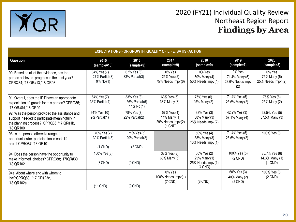

| <b>EXPECTATIONS FOR GROWTH, QUALITY OF LIFE, SATISFACTION</b>                                                                                            |                                                    |                                            |                                                                  |                                                               |                                                     |                                                 |  |  |
|----------------------------------------------------------------------------------------------------------------------------------------------------------|----------------------------------------------------|--------------------------------------------|------------------------------------------------------------------|---------------------------------------------------------------|-----------------------------------------------------|-------------------------------------------------|--|--|
| Question                                                                                                                                                 | 2015<br>(sample=10)                                | 2016<br>(sample=9)                         | 2017<br>(sample=9)                                               | 2018<br>(sample=9)                                            | 2019<br>(sample=7)                                  | 2020<br>(sample=8)                              |  |  |
| 90. Based on all of the evidence, has the<br>person achieved progress in the past year?<br>CPRQ84; '17IQR#13, '18IQR98                                   | 64% Yes (7)<br>$27\%$ Partial $(3)$<br>$9\%$ No(1) | 67% Yes (6)<br>33% Partial (3)             | $0\%$ Yes<br>25% Yes (2)<br>75% Needs Impv(6)                    | 0% Yes<br>50% Many (4)<br>$50\%$ Needs $Impv(4)$              | 0% Yes<br>71.4% Many (5)<br>28.6% Needs Impv<br>(2) | $0\%$ Yes<br>75% Many (6)<br>25% Needs Impv (2) |  |  |
| 91. Overall, does the IDT have an appropriate<br>expectation of growth for this person? CPRQ85;<br>'17IQR#8d, '18IQR99                                   | 64% Yes (7)<br>36% Partial(4)                      | 33% Yes (3)<br>56% Partial(5)<br>11% No(1) | 63% Yes (5)<br>38% Many (3)                                      | 75% Yes (6)<br>25% Many (2)                                   | 71.4% Yes (5)<br>28.6% Many (2)                     | 75% Yes (6)<br>25% Many (2)                     |  |  |
| 92. Was the person provided the assistance and<br>support needed to participate meaningfully in<br>the planning process? CPRQ86; '17IQR#1b,<br>'18IQR100 | 91% Yes(10)<br>9% Partial(1)                       | 78% Yes (7)<br>$22\%$ Partial $(2)$        | 57% Yes (4)<br>14% Many (1)<br>29% Needs Impv(2)<br>$(1$ CND $)$ | 38% Yes (3)<br>38% Many (3)<br>25% Needs Impv(2)              | 42.9% Yes (3)<br>57.1% Many (4)                     | 62.5% Yes (5)<br>37.5% Many (3)                 |  |  |
| 93. Is the person offered a range of<br>opportunities for participation in each life<br>area? CPRQ87, '18IQR101                                          | 70% Yes (7)<br>30% Partial(3)<br>$(1$ CND)         | 71% Yes (5)<br>29% Partial(2)<br>$(2$ CND) |                                                                  | 50% Yes (4)<br>38% Many (3)<br>13% Needs Impv(1)              | 71.4% Yes (5)<br>28.6% Many (2)                     | 100% Yes (8)                                    |  |  |
| 94. Does the person have the opportunity to<br>make informed choices? CPRQ88; '17IQR#30,<br>'18IQR102                                                    | 100% Yes (3)<br>$(8$ CND)                          | $(9$ CND)                                  | 38% Yes (3)<br>63% Many (5)                                      | 50% Yes (2)<br>25% Many (1)<br>25% Needs Impv(1)<br>$(4$ CND) | 100% Yes (5)<br>$(2$ CND)                           | 85.7% Yes (6)<br>14.3% Many (1)<br>$(1$ CND)    |  |  |
| 94a. About where and with whom to<br>live?CPRQ89; '17IQR#23c,<br>18IQR102a                                                                               | $(11$ CND)                                         | $(9$ CND)                                  | 0% Yes<br>100% Needs Impv(1)<br>$(7$ CND)                        | $(8$ CND $)$                                                  | $60\%$ Yes (3)<br>40% Many (2)<br>$(2$ CND)         | 100% Yes (6)<br>$(2$ CND)                       |  |  |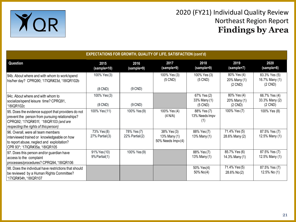

| <b>EXPECTATIONS FOR GROWTH, QUALITY OF LIFE, SATISFACTION (cont'd)</b>                                                                                                                    |                                |                                     |                                                       |                                          |                                             |                                              |  |  |
|-------------------------------------------------------------------------------------------------------------------------------------------------------------------------------------------|--------------------------------|-------------------------------------|-------------------------------------------------------|------------------------------------------|---------------------------------------------|----------------------------------------------|--|--|
| Question                                                                                                                                                                                  | 2015<br>(sample=10)            | 2016<br>(sample=9)                  | 2017<br>(sample=9)                                    | 2018<br>(sample=9)                       | 2019<br>(sample=7)                          | 2020<br>(sample=8)                           |  |  |
| 94b. About where and with whom to work/spend<br>his/her day? CPRQ90; '17IQR#23d, '18IQR102b                                                                                               | 100% Yes (3)<br>$(8$ CND)      | $(9$ CND)                           | 100% Yes (3)<br>$(5$ CND)                             | 100% Yes (3)<br>$(5$ CND)                | 80% Yes (4)<br>20% Many (1)<br>$(2$ CND)    | 83.3% Yes (5)<br>16.7% Many (1)<br>$(2$ CND) |  |  |
| 94c. About where and with whom to<br>socialize/spend leisure time? CPRQ91,<br>18IQR102c                                                                                                   | 100% Yes (3)<br>$(8$ CND)      | $(9$ CND)                           |                                                       | 67% Yes (2)<br>33% Many (1)<br>$(5$ CND) | 80% Yes (4)<br>20% Many (1)<br>$(2$ CND $)$ | 66.7% Yes (4)<br>33.3% Many (2)<br>$(2$ CND) |  |  |
| 95. Does the evidence support that providers do not<br>prevent the person from pursuing relationships?<br>CPRQ92; '17IQR#31f, '18IQR103 (and are<br>respecting the rights of this person) | 100% Yes (11)                  | 100% Yes (9)                        | 100% Yes (4)<br>(4 N/A)                               | 88% Yes (7)<br>13% Needs Impv<br>(1)     | 100% Yes (7)                                | 100% Yes (8)                                 |  |  |
| 96. Overall, were all team members<br>interviewed trained or knowledgeable on how<br>to report abuse, neglect and exploitation?<br>CPR 93*; '17IQR#35a, '18IQR105                         | 73% Yes (8)<br>27% Partial (3) | 78% Yes (7)<br>$22\%$ Partial $(2)$ | 38% Yes (3)<br>13% Many (1)<br>$50\%$ Needs $Impv(4)$ | 88% Yes (7)<br>13% Many (1)              | 71.4% Yes (5)<br>28.6% Many (2)             | 87.5% Yes (7)<br>12.5% Many (1)              |  |  |
| 97. Does this person and/or guardian have<br>access to the complaint<br>processes/procedures? CPRQ94, '18IQR106                                                                           | 91% Yes (10)<br>9% Partial(1)  | 100% Yes (9)                        |                                                       | 88% Yes (7)<br>13% Many (1)              | 85.7% Yes (6)<br>14.3% Many (1)             | 87.5% Yes (7)<br>12.5% Many (1)              |  |  |
| 98. Does the individual have restrictions that should<br>be reviewed by a Human Rights Committee?<br>'17IQR#34h, '18IQR107                                                                |                                |                                     |                                                       | 50% Yes(4)<br>$50\%$ No(4)               | 71.4% Yes (5)<br>28.6% No(2)                | 87.5% Yes (7)<br>12.5% No (1)                |  |  |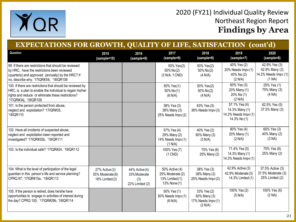

| <b>EXPECTATIONS FOR GROWTH, QUALITY OF LIFE, SATISFACTION (cont'd)</b>                                                                                                                                |                                                      |                                                         |                                                                       |                                                             |                                                                         |                                                                   |  |
|-------------------------------------------------------------------------------------------------------------------------------------------------------------------------------------------------------|------------------------------------------------------|---------------------------------------------------------|-----------------------------------------------------------------------|-------------------------------------------------------------|-------------------------------------------------------------------------|-------------------------------------------------------------------|--|
| Question                                                                                                                                                                                              | 2015<br>(sample=10)                                  | 2016<br>(sample=9)                                      | 2017<br>(sample=9)                                                    | 2018<br>(sample=9)                                          | 2019<br>(sample=7)                                                      | 2020<br>(sample=8)                                                |  |
| 99. If there are restrictions that should be reviewed<br>by HRC, have the restrictions been reviewed<br>(quarterly) and approved (annually) by the HRC? If<br>no, describe why. '17IQR#34i, '18IQR108 |                                                      |                                                         | 50% Yes(2)<br>50% No(2)<br>(3 N/A, 1 CND)                             | 50% Yes(2)<br>50% No(2)<br>(4 N/A)                          | 40% Yes (2)<br>20% Needs Impv (1)<br>40% No (2)<br>(2 N/A)              | 42.9% Yes (3)<br>42.9% Many (3)<br>14.2% Needs Impv (1)<br>(1 NA) |  |
| 100. If there are restrictions that should be reviewed by<br>HRC, is a plan to enable the individual to regain his/her<br>rights and reduce or eliminate these restrictions?<br>'17IQR#34j, '18IQR109 |                                                      |                                                         | 50% Yes(1)<br>50% No(1)<br>(6 N/A)                                    | 50% Yes(2)<br>50% No(2)<br>(4 N/A)                          | 60% Yes (3)<br>20% Many (1)<br>20% No (1)<br>(2 N/A)                    | 25% Yes (1)<br>75% Many (3)<br>(4 NA)                             |  |
| 101. Is the person protected from abuse,<br>neglect and exploitation? '17IQR#35,<br>'18IQR110                                                                                                         |                                                      |                                                         | 38% Yes (3)<br>38% Many (3)<br>25% Needs Impv(2)                      | 63% Yes (5)<br>38% Needs Impv(3)                            | 57.1% Yes (4)<br>14.3% Many (1)<br>14.3% Needs Impv (1)<br>14.3% No (1) | 62.5% Yes (5)<br>37.5% Many (3)                                   |  |
| 102. Have all incidents of suspected abuse,<br>neglect and exploitation been reported and<br>investigated? '17IQR#35b, '18IQR111                                                                      |                                                      |                                                         | 57% Yes (4)<br>29% Many (2)<br>14% Needs Impv(1)<br>(1 N/A)           | 40% Yes (2)<br>60% Many (3)<br>(3 N/A)                      | 80% Yes (4)<br>20% Many (1)<br>(2 N/A)                                  | 60% Yes (3)<br>40% Many (2)<br>(3 NA)                             |  |
| 103. Is the individual safe? '17IQR#24, '18IQR112                                                                                                                                                     |                                                      |                                                         | 100% Yes (7)<br>$(1$ CND)                                             | 75% Yes (6)<br>25% Many (2)                                 | 71.4% Yes (5)<br>14.3% Many (1)<br>14.3% Needs Impv (1)                 | 75% Yes (6)<br>25% Many (2)                                       |  |
| 104. What is the level of participation of the legal<br>guardian in this person's life and service planning?<br>CPRQ 97; '17IQR#15a, '18IQR113                                                        | 27% Active (3)<br>55% Moderate (6)<br>18% Limited(2) | 44% Active(4)<br>33% Moderate<br>(3)<br>22% Limited (2) | 50% Active (4)<br>25% Moderate (2)<br>13% Limited (1)<br>13% None (1) | 38% Yes (3)<br>38% Many (3)<br>25% Needs Impv (2)           | 42.9% Active (3)<br>42.9% Moderate (3)<br>14.3% Limited (1)             | 37.5% Active (3)<br>37.5% Moderate (3)<br>25% Limited (2)         |  |
| 105. If the person is retired, does he/she have<br>opportunities to engage in activities of interest during<br>the day? CPRQ 100; '17IQR#29b, '18IQR114                                               |                                                      |                                                         | 50% Yes (1)<br>50% Needs Impv (1)<br>(6 N/A)                          | 33% Yes (2)<br>50% Many (3)<br>17% Needs Impv(1)<br>(2 N/A) | 100% Yes (2)<br>(5 N/A)                                                 | 100% Yes (6)<br>(2 NA)                                            |  |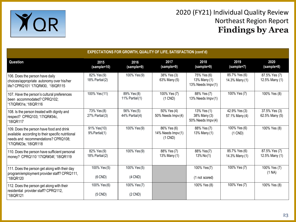

| <b>EXPECTATIONS FOR GROWTH, QUALITY OF LIFE, SATISFACTION (cont'd)</b>                                                                                        |                                    |                                |                                                |                                                  |                                 |                                 |  |  |  |
|---------------------------------------------------------------------------------------------------------------------------------------------------------------|------------------------------------|--------------------------------|------------------------------------------------|--------------------------------------------------|---------------------------------|---------------------------------|--|--|--|
| Question                                                                                                                                                      | 2015<br>(sample=10)                | 2016<br>(sample=9)             | 2017<br>(sample=9)                             | 2018<br>(sample=9)                               | 2019<br>(sample=7)              | 2020<br>(sample=8)              |  |  |  |
| 106. Does the person have daily<br>choices/appropriate autonomy over his/her<br>life? CPRQ101 '17IQR#30, '18IQR115                                            | 82% Yes (9)<br>18% Partial (2)     | 100% Yes (9)                   | 38% Yes (3)<br>63% Many (5)                    | 75% Yes (6)<br>13% Many (1)<br>13% Needs Impv(1) | 85.7% Yes (6)<br>14.3% Many (1) | 87.5% Yes (7)<br>12.5% Many (1) |  |  |  |
| 107. Have the person's cultural preferences<br>been accommodated? CPRQ102;<br>'17IQR#31e, '18IQR116                                                           | 100% Yes (11)                      | 89% Yes (8)<br>11% Partial(1)  | 100% Yes (7)<br>$(1$ CND)                      | 88% Yes (7)<br>13% Needs Impv(1)                 | 100% Yes (7)                    | 100% Yes (8)                    |  |  |  |
| 108. Is the person treated with dignity and<br>respect? CPRQ103; '17IQR#34c,<br>'18IQR117                                                                     | 73% Yes (8)<br>$27%$ Partial $(3)$ | 56% Yes (5)<br>44% Partial (4) | 50% Yes (4)<br>50% Needs Impv(4)               | 13% Yes (1)<br>38% Many (3)<br>50% Needs Impv(4) | 42.9% Yes (3)<br>57.1% Many (4) | 37.5% Yes (3)<br>62.5% Many (5) |  |  |  |
| 109. Does the person have food and drink<br>available according to their specific nutritional<br>needs and recommendations? CPRQ108;<br>'17IQR#23e, '18IQR118 | 91% Yes(10)<br>9% Partial(1)       | 100% Yes (9)                   | 86% Yes (6)<br>14% Needs Impv (1)<br>$(1$ CND) | 88% Yes (7)<br>13% Many (1)                      | 100% Yes (6)<br>$(1$ CND)       | 100% Yes (8)                    |  |  |  |
| 110. Does the person have sufficient personal<br>money? CPRQ110 '17IQR#34f, '18IQR119                                                                         | 82% Yes (9)<br>18% Partial(2)      | 100% Yes (9)                   | 88% Yes (7)<br>13% Many (1)                    | 88% Yes(7)<br>$13\%$ No $(1)$                    | 85.7% Yes (6)<br>14.3% Many (1) | 87.5% Yes (7)<br>12.5% Many (1) |  |  |  |
| 111. Does the person get along with their day<br>program/employment provider staff? CPRQ111,<br>'18IOR120                                                     | 100% Yes (5)<br>$(6$ CND)          | 100% Yes (5)<br>$(4$ CND)      |                                                | 100% Yes(7)<br>(1 not scored)                    | 100% Yes (7)                    | 100% Yes (7)<br>(1 NA)          |  |  |  |
| 112. Does the person get along with their<br>residential provider staff? CPRQ112,<br>'18IQR121                                                                | 100% Yes (6)<br>$(5$ CND)          | 100% Yes (7)<br>$(2$ CND)      |                                                | 100% Yes (8)                                     | 100% Yes (7)                    | 100% Yes (8)                    |  |  |  |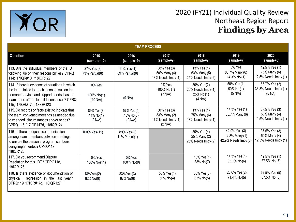

| <b>TEAM PROCESS</b>                                                                                                                                                                                                        |                                        |                                        |                                                               |                                                           |                                                         |                                                            |  |  |  |
|----------------------------------------------------------------------------------------------------------------------------------------------------------------------------------------------------------------------------|----------------------------------------|----------------------------------------|---------------------------------------------------------------|-----------------------------------------------------------|---------------------------------------------------------|------------------------------------------------------------|--|--|--|
| Question                                                                                                                                                                                                                   | 2015<br>(sample=10)                    | 2016<br>(sample=9)                     | 2017<br>(sample=9)                                            | 2018<br>(sample=9)                                        | 2019<br>(sample=7)                                      | 2020<br>(sample=8)                                         |  |  |  |
| 113. Are the individual members of the IDT<br>following up on their responsibilities? CPRQ<br>114; '17IQR#10, '18IQR122                                                                                                    | 27% Yes (3)<br>73% Partial(8)          | 11% Yes (1)<br>89% Partial(8)          | 38% Yes (3)<br>50% Many (4)<br>13% Needs $Impv(1)$            | 13% Yes (1)<br>63% Many (5)<br>25% Needs Impv(2)          | 0% Yes<br>85.7% Many (6)<br>14.3% No (1)                | 12.5% Yes (1)<br>75% Many (6)<br>12.5% Needs Impv (1)      |  |  |  |
| 114. If there is evidence of situations in which<br>the team failed to reach a consensus on the<br>person's service and support needs, has the<br>team made efforts to build consensus? CPRQ<br>115; '17IQR#17c, '18IQR123 | 0% Yes<br>100% No(1)<br>(10 N/A)       | (9 N/A)                                | $0\%$ Yes<br>100% No (1)<br>(7 N/A)                           | 50% Yes (2)<br>25% Needs Impv(1)<br>25% No (1)<br>(4 N/A) | 50% Yes (1)<br>50% No(1)<br>(5 N/A)                     | 66.7% Yes (2)<br>33.3% Needs Impv (1)<br>(5 NA)            |  |  |  |
| 115. Do records or facts exist to indicate that<br>the team convened meetings as needed due<br>to changed circumstances and/or needs?<br>CPRQ 116; '17IQR#17d, '18IQR124                                                   | 89% Yes (8)<br>$11\%$ No(1)<br>(2 N/A) | 57% Yes (4)<br>$43\%$ No(3)<br>(2 N/A) | 50% Yes (3)<br>33% Many (2)<br>17% Needs $Impv(1)$<br>(2 N/A) | 13% Yes (1)<br>75% Many (6)<br>13% Needs Impv(1)          | 14.3% Yes (1)<br>85.7% Many (6)                         | 37.5% Yes (3)<br>50% Many (4)<br>$12.5\%$ Needs Impv $(1)$ |  |  |  |
| 116. Is there adequate communication<br>among team members between meetings<br>to ensure the person's program can be/is<br>being implemented? CPRQ117,<br>'18IQR125                                                        | 100% Yes (11)                          | 89% Yes (8)<br>11% Partial $(1)$       |                                                               | 50% Yes (4)<br>25% Many (2)<br>25% Needs Impv(2)          | 42.9% Yes (3)<br>14.3% Many (1)<br>42.9% Needs Impv (3) | 37.5% Yes (3)<br>50% Many (4)<br>12.5% Needs Impv (1)      |  |  |  |
| 117. Do you recommend Dispute<br>Resolution for this IDT? CPRQ118,<br>'18IOR126                                                                                                                                            | 0% Yes<br>100% No(11)                  | 0% Yes<br>100% No(9)                   |                                                               | 13% Yes(1)<br>88% No(7)                                   | 14.3% Yes (1)<br>85.7% No(6)                            | 12.5% Yes (1)<br>87.5% No (7)                              |  |  |  |
| 118. Is there evidence or documentation of<br>regression in the last year?<br>physical<br>CPRQ119 '17IQR#17d, '18IQR127                                                                                                    | 18% Yes (2)<br>82% No(9)               | 33% Yes (3)<br>67% No(6)               | 50% Yes(4)<br>50% No(4)                                       | 38% Yes(3)<br>63% No(5)                                   | 28.6% Yes (2)<br>71.4% No(5)                            | 62.5% Yes (5)<br>37.5% No (3)                              |  |  |  |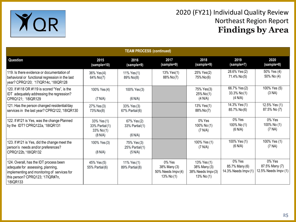

| <b>TEAM PROCESS (continued)</b>                                                                                                                                             |                                                             |                                               |                                                              |                                                                 |                                                  |                                                  |  |  |
|-----------------------------------------------------------------------------------------------------------------------------------------------------------------------------|-------------------------------------------------------------|-----------------------------------------------|--------------------------------------------------------------|-----------------------------------------------------------------|--------------------------------------------------|--------------------------------------------------|--|--|
| Question                                                                                                                                                                    | 2015<br>(sample=10)                                         | 2016<br>(sample=9)                            | 2017<br>(sample=9)                                           | 2018<br>(sample=9)                                              | 2019<br>(sample=7)                               | 2020<br>(sample=8)                               |  |  |
| 119. Is there evidence or documentation of<br>behavioral or functional regression in the last<br>year? CPRQ120; '17IQR14c, '18IQR128                                        | 36% Yes(4)<br>64% No(7)                                     | 11% Yes(1)<br>89% No(8)                       | 13% Yes(1)<br>88% No(7)                                      | 25% Yes(2)<br>75% No(6)                                         | 28.6% Yes (2)<br>71.4% No(5)                     | 50% Yes (4)<br>50% No (4)                        |  |  |
| 120. If #118 OR #119 is scored "Yes", is the<br>IDT adequately addressing the regression?<br>CPRQ121; '18IQR129                                                             | 100% Yes (4)<br>(7 N/A)                                     | 100% Yes (3)<br>(6 N/A)                       |                                                              | 75% Yes(3)<br>$25\%$ No $(1)$<br>(4 N/A)                        | 66.7% Yes (2)<br>$33.3\%$ No $(1)$<br>(4 N/A)    | 100% Yes (5)<br>(3 NA)                           |  |  |
| 121. Has the person changed residential/day<br>services in the last year? CPRQ122, '18IQR130                                                                                | 27% Yes (3)<br>73% No(8)                                    | 33% Yes (3)<br>67% Partial(6)                 |                                                              | 13% Yes(1)<br>88% No(7)                                         | 14.3% Yes(1)<br>85.7% No(6)                      | 12.5% Yes (1)<br>87.5% No (7)                    |  |  |
| 122. If #121 is Yes, was the change Planned<br>by the IDT? CPRQ122a, '18IQR131                                                                                              | 33% Yes (1)<br>33% Partial(1)<br>$33\%$ No $(1)$<br>(8 N/A) | 67% Yes (2)<br>33% Partial(1)<br>(6 N/A)      |                                                              | 0% Yes<br>100% No (1)<br>(7 N/A)                                | $0\%$ Yes<br>100% No (1)<br>(6 N/A)              | 0% Yes<br>100% No (1)<br>(7 NA)                  |  |  |
| 123. If #121 is Yes, did the change meet the<br>person's needs and/or preferences?<br>CPRQ122b, '18IQR132                                                                   | 100% Yes (3)<br>(8 N/A)                                     | 75% Yes (3)<br>$25%$ Partial $(1)$<br>(5 N/A) |                                                              | 100% Yes (1)<br>(7 N/A)                                         | 100% Yes (1)<br>(6 N/A)                          | 100% Yes (1)<br>(7 NA)                           |  |  |
| 124. Overall, has the IDT process been<br>adequate for assessing, planning,<br>implementing and monitoring of services for<br>this person? CPRQ123; '17IQR#7n,<br>'18IQR133 | 45% Yes (5)<br>55% Partial(6)                               | 11% Yes (1)<br>89% Partial (8)                | $0\%$ Yes<br>38% Many (3)<br>50% Needs Impv(4)<br>13% No (1) | 13% Yes (1)<br>38% Many (3)<br>38% Needs Impv (3)<br>13% No (1) | 0% Yes<br>85.7% Many (6)<br>14.3% Needs Impv (1) | 0% Yes<br>87.5% Many (7)<br>12.5% Needs Impv (1) |  |  |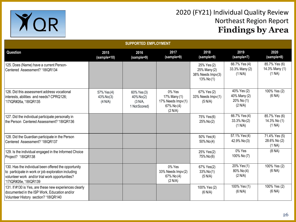

| <b>SUPPORTED EMPLOYMENT</b>                                                                                                                                                             |                                     |                                                      |                                                                      |                                                               |                                                      |                                           |  |  |
|-----------------------------------------------------------------------------------------------------------------------------------------------------------------------------------------|-------------------------------------|------------------------------------------------------|----------------------------------------------------------------------|---------------------------------------------------------------|------------------------------------------------------|-------------------------------------------|--|--|
| Question                                                                                                                                                                                | 2015<br>(sample=10)                 | 2016<br>(sample=9)                                   | 2017<br>(sample=9)                                                   | 2018<br>(sample=9)                                            | 2019<br>(sample=7)                                   | 2020<br>(sample=8)                        |  |  |
| 125. Does (Name) have a current Person-<br>Centered Assessment? '18IQR134                                                                                                               |                                     |                                                      |                                                                      | 25% Yes (2)<br>25% Many (2)<br>38% Needs Impv(3)<br>13% No(1) | 66.7% Yes (4)<br>33.3% Many (2)<br>(1 N/A)           | 85.7% Yes (6)<br>14.3% Many (1)<br>(1 NA) |  |  |
| 126. Did this assessment address vocational<br>interests, abilities and needs? CPRQ126;<br>'17IQR#26a, '18IQR135                                                                        | 57% Yes (4)<br>43% No(3)<br>(4 N/A) | 60% Yes (3)<br>40% No(2)<br>(3 N/A,<br>1 Not Scored) | 0% Yes<br>17% Many (1)<br>17% Needs Impv(1)<br>67% No (4)<br>(2 N/A) | 67% Yes (2)<br>33% Needs Impv(1)<br>(5 N/A)                   | 40% Yes (2)<br>40% Many (2)<br>20% No (1)<br>(2 N/A) | 100% Yes (2)<br>(6 NA)                    |  |  |
| 127. Did the individual participate personally in<br>the Person Centered Assessment? '18IQR136                                                                                          |                                     |                                                      |                                                                      | 75% Yes(6)<br>25% No(2)                                       | 66.7% Yes (4)<br>33.3% No(2)<br>(1 N/A)              | 85.7% Yes (6)<br>14.3% No (1)<br>(1 NA)   |  |  |
| 128. Did the Guardian participate in the Person<br>Centered Assessment? '18IQR137                                                                                                       |                                     |                                                      |                                                                      | 50% Yes(4)<br>$50\%$ No(4)                                    | 57.1% Yes (4)<br>42.9% No(3)                         | 71.4% Yes (5)<br>28.6% No (2)<br>(1 NA)   |  |  |
| 129. Is the individual engaged in the Informed Choice<br>Project? '18IQR138                                                                                                             |                                     |                                                      |                                                                      | 25% Yes(2)<br>75% No(6)                                       | 0% Yes<br>100% No (7)                                | (8 NA)                                    |  |  |
| 130. Has the individual been offered the opportunity<br>to participate in work or job exploration including<br>volunteer work and/or trial work opportunities?<br>'17IQR#26e, '18IQR139 |                                     |                                                      | 0% Yes<br>33% Needs Impv(2)<br>67% No (4)<br>(2 N/A)                 | 67% Yes(2)<br>33% No(1)<br>(5 N/A)                            | 20% Yes (1)<br>80% No(4)<br>(2 N/A)                  | 100% Yes (2)<br>(6 NA)                    |  |  |
| 131. If #130 is Yes, are these new experiences clearly<br>documented in the ISP Work, Education and/or<br>Volunteer History section? '18IQR140                                          |                                     |                                                      |                                                                      | 100% Yes (2)<br>(6 N/A)                                       | 100% Yes (1)<br>(6 N/A)                              | 100% Yes (2)<br>(6 NA)                    |  |  |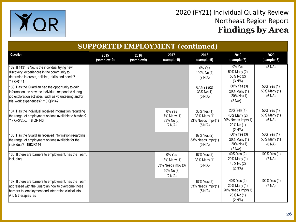



| <b>SUPPORTED EMPLOYMENT (continued)</b>                                                                                                                                                                |                     |                    |                                                                       |                                                             |                                                                            |                                       |  |
|--------------------------------------------------------------------------------------------------------------------------------------------------------------------------------------------------------|---------------------|--------------------|-----------------------------------------------------------------------|-------------------------------------------------------------|----------------------------------------------------------------------------|---------------------------------------|--|
| Question                                                                                                                                                                                               | 2015<br>(sample=10) | 2016<br>(sample=9) | 2017<br>(sample=9)                                                    | 2018<br>(sample=9)                                          | 2019<br>(sample=7)                                                         | 2020<br>(sample=8)                    |  |
| 132. If #131 is No, is the individual trying new<br>discovery experiences in the community to<br>determine interests, abilities, skills and needs?<br>'18IQR141                                        |                     |                    |                                                                       | 0% Yes<br>100% No (1)<br>(7 N/A)                            | 0% Yes<br>50% Many (2)<br>50% No (2)<br>(3 N/A)                            | (8 NA)                                |  |
| 133. Has the Guardian had the opportunity to gain<br>information on how the individual responded during<br>job exploration activities such as volunteering and/or<br>trial work experiences? '18IQR142 |                     |                    |                                                                       | 67% Yes(2)<br>33% No(1)<br>(5 N/A)                          | 60% Yes (3)<br>20% Many (1)<br>20% No (1)<br>(2 N/A)                       | 50% Yes (1)<br>50% Many (1)<br>(6 NA) |  |
| 134. Has the individual received information regarding<br>the range of employment options available to him/her?<br>'17IQR#26c, '18IQR143                                                               |                     |                    | 0% Yes<br>17% Many (1)<br>83% No (5)<br>(2 N/A)                       | 33% Yes (1)<br>33% Many (1)<br>33% Needs Impv(1)<br>(5 N/A) | 20% Yes (1)<br>40% Many (2)<br>20% Needs Impv (1)<br>20% No (1)<br>(2 N/A) | 50% Yes (1)<br>50% Many (1)<br>(6 NA) |  |
| 135. Has the Guardian received information regarding<br>the range of employment options available for the<br>individual? '18IQR144                                                                     |                     |                    |                                                                       | 67% Yes (2)<br>33% Needs Impv(1)<br>(5 N/A)                 | $\sqrt{60\% \text{ Yes}}$ (3)<br>20% Many (1)<br>20% No (1)<br>(2 N/A)     | 50% Yes (1)<br>50% Many (1)<br>(6 NA) |  |
| 136. If there are barriers to employment, has the Team,<br>including                                                                                                                                   |                     |                    | 0% Yes<br>13% Many (1)<br>33% Needs Impv (3)<br>50% No (3)<br>(2 N/A) | 67% Yes (2)<br>33% Many (1)<br>(5 N/A)                      | 40% Yes (2)<br>20% Many (1)<br>40% No (2)<br>(2 N/A)                       | 100% Yes (1)<br>(7 NA)                |  |
| 137. If there are barriers to employment, has the Team<br>addressed with the Guardian how to overcome those<br>barriers to employment and integrating clinical info.,<br>AT, & therapies as            |                     |                    |                                                                       | 67% Yes (2)<br>33% Needs Impv(1)<br>(5 N/A)                 | 40% Yes (2)<br>20% Many (1)<br>20% Needs Impv (1)<br>20% No (1)<br>(2 N/A) | 100% Yes (1)<br>(7 NA)                |  |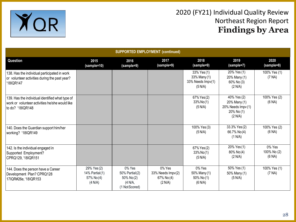

| <b>SUPPORTED EMPLOYMENT (continued)</b>                                                                                |                                                       |                                                                       |                                                      |                                                             |                                                                            |                                 |  |  |  |  |
|------------------------------------------------------------------------------------------------------------------------|-------------------------------------------------------|-----------------------------------------------------------------------|------------------------------------------------------|-------------------------------------------------------------|----------------------------------------------------------------------------|---------------------------------|--|--|--|--|
| Question                                                                                                               | 2015<br>(sample=10)                                   | 2016<br>(sample=9)                                                    | 2017<br>(sample=9)                                   | 2018<br>(sample=9)                                          | 2019<br>(sample=7)                                                         | 2020<br>(sample=8)              |  |  |  |  |
| 138. Has the individual participated in work<br>or volunteer activities during the past year?<br>'18IQR147             |                                                       |                                                                       |                                                      | 33% Yes (1)<br>33% Many (1)<br>33% Needs Impv(1)<br>(5 N/A) | 20% Yes (1)<br>20% Many (1)<br>60% No (3)<br>(2 N/A)                       | 100% Yes (1)<br>(7 NA)          |  |  |  |  |
| 139. Has the individual identified what type of<br>work or volunteer activities he/she would like<br>to do? '18IQR148' |                                                       |                                                                       |                                                      | 67% Yes (2)<br>$33\%$ No(1)<br>(5 N/A)                      | 40% Yes (2)<br>20% Many (1)<br>20% Needs Impv (1)<br>20% No (1)<br>(2 N/A) | 100% Yes (2)<br>(6 NA)          |  |  |  |  |
| 140. Does the Guardian support him/her<br>working? '18IQR149                                                           |                                                       |                                                                       |                                                      | 100% Yes (3)<br>(5 N/A)                                     | 33.3% Yes (2)<br>66.7% No(4)<br>(1 N/A)                                    | 100% Yes (2)<br>(6 NA)          |  |  |  |  |
| 142. Is the individual engaged in<br>Supported Employment?<br>CPRQ129, '18IQR151                                       |                                                       |                                                                       |                                                      | 67% Yes (2)<br>33% No(1)<br>(5 N/A)                         | 20% Yes (1)<br>80% No(4)<br>(2 N/A)                                        | 0% Yes<br>100% No (2)<br>(6 NA) |  |  |  |  |
| 144. Does the person have a Career<br>Development Plan? CPRQ128<br>17IQR#26e, '18IQR153                                | 29% Yes (2)<br>14% Partial(1)<br>57% No(4)<br>(4 N/A) | 0% Yes<br>50% Partial(2)<br>$50\%$ No(2)<br>(4 N/A,<br>(1 Not Scored) | 0% Yes<br>33% Needs Impv(2)<br>67% No (4)<br>(2 N/A) | 0% Yes<br>50% Many (1)<br>50% No (1)<br>(6 N/A)             | 50% Yes (1)<br>50% Many (1)<br>(5 N/A)                                     | 100% Yes (1)<br>(7 NA)          |  |  |  |  |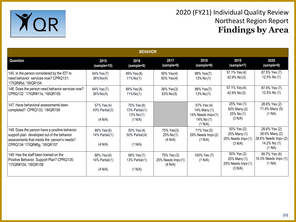

| <b>BEHAVIOR</b>                                                                                                                                                           |                                            |                                                         |                                             |                                                                           |                                                              |                                                                                   |  |
|---------------------------------------------------------------------------------------------------------------------------------------------------------------------------|--------------------------------------------|---------------------------------------------------------|---------------------------------------------|---------------------------------------------------------------------------|--------------------------------------------------------------|-----------------------------------------------------------------------------------|--|
| Question                                                                                                                                                                  | 2015<br>(sample=10)                        | 2016<br>(sample=9)                                      | 2017<br>(sample=9)                          | 2018<br>(sample=9)                                                        | 2019<br>(sample=7)                                           | 2020<br>(sample=8)                                                                |  |
| 145. Is the person considered by the IDT to<br>need behavior services now? CPRQ131;<br>'17IQR#5d, '18IQR154                                                               | 64% Yes (7)<br>$36\%$ No(4)                | 89% Yes (8)<br>$11\%$ No(1)                             | 50% Yes(4)<br>50% Yes(4)                    | 88% Yes(7)<br>$13\%$ No $(1)$                                             | 57.1% Yes (4)<br>42.9% No (3)                                | 87.5% Yes (7)<br>12.5% No (1)                                                     |  |
| 146. Does the person need behavior services now?<br>CPRQ132 '17IQR#11e, '18IQR155                                                                                         | 64% Yes (7)<br>$36\%$ No(4)                | 89% Yes (8)<br>$11\%$ No(1)                             | 38% Yes(3)<br>63% No(5)                     | 88% Yes(7)<br>$13\%$ No $(1)$                                             | 57.1% Yes (4)<br>42.9% No(3)                                 | 87.5% Yes (7)<br>12.5% No (1)                                                     |  |
| 147. Have behavioral assessments been<br>completed? CPRQ133, '18IQR156                                                                                                    | 57% Yes (4)<br>43% Partial(3)<br>(4 N/A)   | 75% Yes (6)<br>13% Partial(1)<br>13% $No(1)$<br>(1 N/A) |                                             | 57% Yes (4)<br>14% Many (1)<br>14% Needs Impv(1)<br>14% No (1)<br>(1 N/A) | 25% Yes (1)<br>50% Many (2)<br>25% No (1)<br>(3 N/A)         | 28.6% Yes (2)<br>71.4% Many (5)<br>(1 NA)                                         |  |
| 148. Does the person have a positive behavior<br>support plan developed out of the behavior<br>assessments that meets the person's needs?<br>CPRQ134 '17IQR#5g, '18IQR157 | 86% Yes (6)<br>14% $Partial(1)$<br>(4 N/A) | 50% Yes (4)<br>$50\%$ Partial $(4)$<br>(1 N/A)          | 75% Yes(3)<br>$25\%$ No $(1)$<br>(4 N/A)    | 71% Yes (5)<br>29% Needs Impv(2)<br>(1 N/A)                               | 50% Yes (2)<br>25% Many (1)<br>25% Needs Impv (1)<br>(3 N/A) | 28.6% Yes (2)<br>28.6% Many (2)<br>28.6% Needs Impv (2)<br>14.2% No (1)<br>(1 NA) |  |
| 149. Has the staff been trained on the<br>Positive Behavior Support Plan? CPRQ135;<br>'17IQR#10d, '18IQR158                                                               | 86% Yes (6)<br>14% $Partial(1)$<br>(4 N/A) | 88% Yes (7)<br>13% Partial $(1)$<br>(1 N/A)             | 75% Yes (3)<br>25% Needs Impv(1)<br>(4 N/A) | 100% Yes (7)<br>(1 N/A)                                                   | 50% Yes (2)<br>25% Many (1)<br>25% Needs Impv (1)<br>(3 N/A) | 85.7% Yes (6)<br>14.3% Needs Impv (1)<br>(1 NA)                                   |  |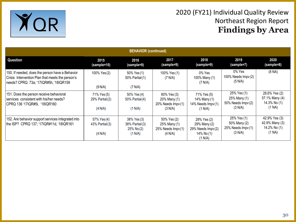

| <b>BEHAVIOR (continued)</b>                                                                                                                  |                                                |                                                        |                                                                  |                                                                           |                                                              |                                                           |  |
|----------------------------------------------------------------------------------------------------------------------------------------------|------------------------------------------------|--------------------------------------------------------|------------------------------------------------------------------|---------------------------------------------------------------------------|--------------------------------------------------------------|-----------------------------------------------------------|--|
| <b>Question</b>                                                                                                                              | 2015<br>(sample=10)                            | 2016<br>(sample=9)                                     | 2017<br>(sample=9)                                               | 2018<br>(sample=9)                                                        | 2019<br>(sample=7)                                           | 2020<br>(sample=8)                                        |  |
| 150. If needed, does the person have a Behavior<br>Crisis Intervention Plan that meets the person's<br>needs? CPRQ 73a; '17IQR#5h, '18IQR159 | 100% Yes (2)<br>(9 N/A)                        | 50% Yes (1)<br>50% Partial(1)<br>(7 N/A)               | 100% Yes (1)<br>(7 N/A)                                          | $0\%$ Yes<br>100% Many (1)<br>(7 N/A)                                     | 0% Yes<br>100% Needs $Impv(2)$<br>(5 N/A)                    | (8 NA)                                                    |  |
| 151. Does the person receive behavioral<br>services consistent with his/her needs?<br>CPRQ 136 '17IQR#5i, '18IQR160                          | 71% Yes (5)<br>$29\%$ Partial $(2)$<br>(4 N/A) | 50% Yes (4)<br>50% Partial(4)<br>(1 N/A)               | 60% Yes (3)<br>20% Many (1)<br>20% Needs Impv(1)<br>(3 N/A)      | 71% Yes (5)<br>14% Many (1)<br>14% Needs Impv(1)<br>(1 N/A)               | 25% Yes (1)<br>25% Many (1)<br>50% Needs Impv (2)<br>(3 N/A) | 28.6% Yes (2)<br>57.1% Many (4)<br>14.3% No (1)<br>(1 NA) |  |
| 152. Are behavior support services integrated into<br>the ISP? CPRQ 137; '17IQR#11d, '18IQR161                                               | 57% Yes (4)<br>$43\%$ Partial $(3)$<br>(4 N/A) | 38% Yes (3)<br>38% Partial (3)<br>25% No(2)<br>(1 N/A) | 50% Yes (2)<br>25% Many (1)<br>$25\%$ Needs $Impv(1)$<br>(4 N/A) | 29% Yes (2)<br>29% Many (2)<br>29% Needs Impv(2)<br>14% No (1)<br>(1 N/A) | 25% Yes (1)<br>50% Many (2)<br>25% Needs Impv (1)<br>(3 N/A) | 42.9% Yes (3)<br>42.9% Many (3)<br>14.2% No (1)<br>(1 NA) |  |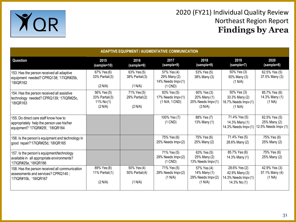

| <b>ADAPTIVE EQUIPMENT / AUGMENTATIVE COMMUNICATION</b>                                                                 |                                                          |                                           |                                                                      |                                                             |                                                                         |                                                       |  |
|------------------------------------------------------------------------------------------------------------------------|----------------------------------------------------------|-------------------------------------------|----------------------------------------------------------------------|-------------------------------------------------------------|-------------------------------------------------------------------------|-------------------------------------------------------|--|
| <b>Question</b>                                                                                                        | 2015<br>(sample=10)                                      | 2016<br>(sample=9)                        | 2017<br>(sample=9)                                                   | 2018<br>(sample=9)                                          | 2019<br>(sample=7)                                                      | 2020<br>(sample=8)                                    |  |
| 153. Has the person received all adaptive<br>equipment needed? CPRQ138; '17IQR#25b,<br>18IQR162                        | 67% Yes (6)<br>33% Partial (3)<br>(2 N/A)                | 63% Yes (5)<br>38% Partial(3)<br>(1 N/A)  | 57% Yes (4)<br>29% Many (2)<br>14% Needs Impv(1)<br>$(1$ CND $)$     | 53% Yes (5)<br>38% Many (3)                                 | 50% Yes (3)<br>50% Many (3)<br>(1 N/A)                                  | 62.5% Yes (5)<br>37.5% Many (3)                       |  |
| 154. Has the person received all assistive<br>technology needed? CPRQ139; '17IQR#25c,<br>18IQR163 <sup>.</sup>         | 56% Yes (5)<br>33% Partial(3)<br>11% No $(1)$<br>(2 N/A) | 71% Yes (5)<br>29% Partial (2)<br>(2 N/A) | 83% Yes (5)<br>17% Needs Impv(1)<br>$(1 \text{ N/A}, 1 \text{ CND})$ | 60% Yes (3)<br>20% Many (1)<br>20% Needs Impv(1)<br>(3 N/A) | 50% Yes (3)<br>33.3% Many (2)<br>16.7% Needs Impv (1)<br>(1 N/A)        | 85.7% Yes (6)<br>14.3% Many (1)<br>(1 NA)             |  |
| 155. Do direct care staff know how to<br>appropriately help the person use his/her<br>equipment? '17IQR#25f, '18IQR164 |                                                          |                                           | 100% Yes (7)<br>$(1$ CND)                                            | 88% Yes (7)<br>13% Many (1)                                 | 71.4% Yes (5)<br>14.3% Many (1)<br>14.3% Needs Impv (1)                 | 62.5% Yes (5)<br>25% Many (2)<br>12.5% Needs Impv (1) |  |
| 156. Is the person's equipment and technology in<br>good repair?'17IQR#25d, '18IQR165                                  |                                                          |                                           | 75% Yes (6)<br>25% Needs Impv(2)                                     | 75% Yes (6)<br>25% Many (2)                                 | 71.4% Yes (5)<br>28.6% Many (2)                                         | 75% Yes (6)<br>25% Many (2)                           |  |
| 157. Is the person's equipment/technology<br>available in all appropriate environments?<br>17IQR#25e, 18IQR166         |                                                          |                                           | 71% Yes (5)<br>29% Needs Impv(2)<br>$(1$ CND)                        | 63% Yes (5)<br>25% Many (2)<br>13% Needs Impv(1)            | 85.7% Yes (6)<br>14.3% Many (1)                                         | 75% Yes (6)<br>25% Many (2)                           |  |
| 158. Has the person received all communication<br>assessments and services? CPRQ140;<br>'17IQR#10b, '18IQR167          | 89% Yes (8)<br>11% Partial $(1)$<br>(2 N/A)              | 50% Yes (4)<br>50% Partial (4)<br>(1 N/A) | 71% Yes (5)<br>29% Needs Impv(2)<br>(1 N/A)                          | 57% Yes (4)<br>14% Many (1)<br>29% Needs Impv(2)<br>(1 N/A) | 28.6% Yes (2)<br>42.9% Many (3)<br>14.3% Needs Impv (1)<br>14.3% No (1) | 42.9% Yes (3)<br>57.1% Many (4)<br>(1 NA)             |  |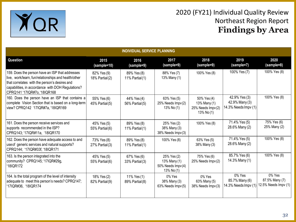

| <b>INDIVIDUAL SERVICE PLANNING</b>                                                                                                                                                                                                            |                                    |                                |                                                                |                                                                  |                                                         |                                                  |  |
|-----------------------------------------------------------------------------------------------------------------------------------------------------------------------------------------------------------------------------------------------|------------------------------------|--------------------------------|----------------------------------------------------------------|------------------------------------------------------------------|---------------------------------------------------------|--------------------------------------------------|--|
| Question                                                                                                                                                                                                                                      | 2015<br>(sample=10)                | 2016<br>(sample=9)             | 2017<br>(sample=9)                                             | 2018<br>(sample=9)                                               | 2019<br>(sample=7)                                      | 2020<br>(sample=8)                               |  |
| 159. Does the person have an ISP that addresses<br>live, work/learn, fun/relationships and health/other<br>that correlates with the person's desires and<br>capabilities, in accordance with DOH Regulations?<br>CPRQ141 '17IQR#7o, '18IQR168 | 82% Yes (9)<br>18% Partial(2)      | 89% Yes (8)<br>11% Partial(1)  | 88% Yes (7)<br>13% Many (1)                                    | 100% Yes (8)                                                     | 100% Yes (7)                                            | 100% Yes (8)                                     |  |
| 160. Does the person have an ISP that contains a<br>complete Vision Section that is based on a long-term<br>view? CPRQ142 '17IQR#7a, '18IQR169                                                                                                | 55% Yes (6)<br>45% Partial(5)      | 44% Yes (4)<br>56% Partial (5) | 63% Yes (5)<br>25% Needs Impv(2)<br>13% No (1)                 | 50% Yes (4)<br>13% Many (1)<br>25% Needs Impv(2)<br>13% No $(1)$ | 42.9% Yes (3)<br>42.9% Many (3)<br>14.3% Needs Impv (1) | 100% Yes (8)                                     |  |
| 161. Does the person receive services and<br>supports recommended in the ISP?<br>CPRQ143; '17IQR#11a, '18IQR170                                                                                                                               | 45% Yes (5)<br>55% Partial(6)      | 89% Yes (8)<br>11% Partial(1)  | 25% Yes (2)<br>38% Many (3)<br>38% Needs Impv(3)               | 100% Yes (8)                                                     | 71.4% Yes (5)<br>28.6% Many (2)                         | 75% Yes (6)<br>25% Many (2)                      |  |
| 162. Does the person have adequate access to and<br>use of generic services and natural supports?<br>CPRQ144; '17IQR#33f, '18IQR171                                                                                                           | 73% Yes (8)<br>$27%$ Partial $(3)$ | 89% Yes (8)<br>11% Partial (1) | 100% Yes (8)                                                   | 63% Yes (5)<br>38% Many (3)                                      | 71.4% Yes (5)<br>28.6% Many (2)                         | 100% Yes (8)                                     |  |
| 163. Is the person integrated into the<br>community? CPRQ145; '17IQR#29g,<br>'18IQR172                                                                                                                                                        | 45% Yes (5)<br>55% Partial(6)      | 67% Yes (6)<br>33% Partial (3) | 25% Yes (2)<br>13% Many (1)<br>50% Needs Impv(4)<br>13% No (1) | 75% Yes (6)<br>25% Needs Impv(2)                                 | 85.7% Yes (6)<br>14.3% Many (1)                         | 100% Yes (8)                                     |  |
| 164. Is the total program of the level of intensity<br>adequate to meet this person's needs? CPRQ147;<br>'17IQR#36, '18IQR174                                                                                                                 | 18% Yes (2)<br>82% Partial (9)     | 11% Yes (1)<br>89% Partial(8)  | $0\%$ Yes<br>38% Many (3)<br>63% Needs Impv(5)                 | 0% Yes<br>63% Many (5)<br>38% Needs Impv(3)                      | 0% Yes<br>85.7% Many (6)<br>14.3% Needs Impv (1)        | 0% Yes<br>87.5% Many (7)<br>12.5% Needs Impv (1) |  |